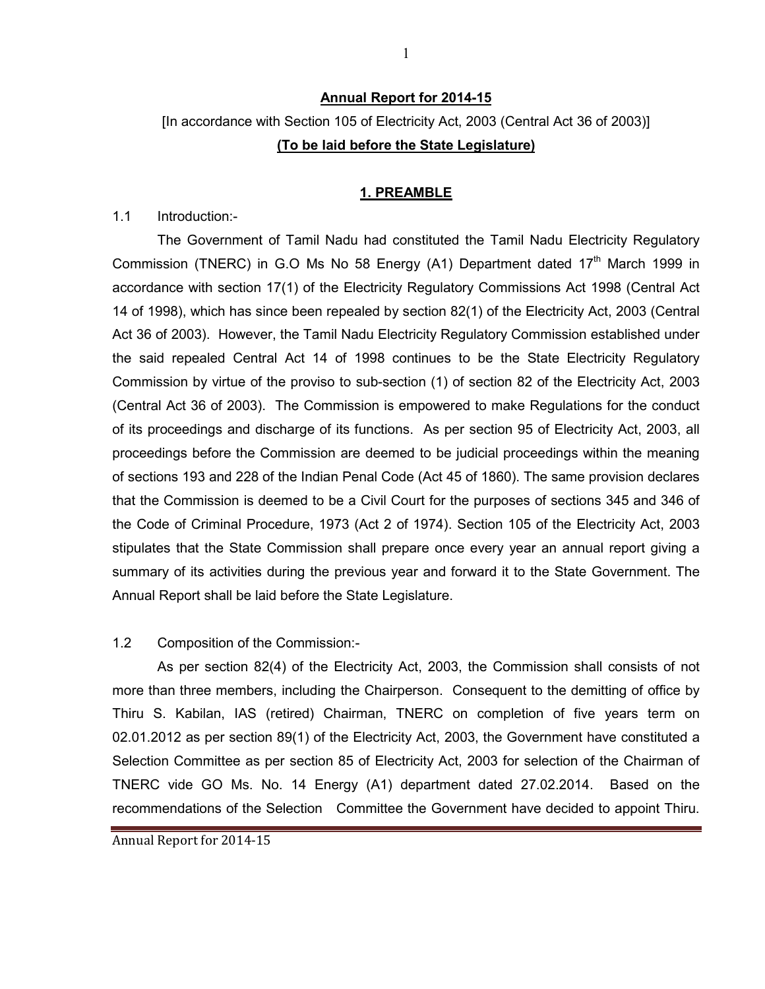#### Annual Report for 2014-15

# [In accordance with Section 105 of Electricity Act, 2003 (Central Act 36 of 2003)] (To be laid before the State Legislature)

#### 1. PREAMBLE

1.1 Introduction:-

The Government of Tamil Nadu had constituted the Tamil Nadu Electricity Regulatory Commission (TNERC) in G.O Ms No 58 Energy  $(A1)$  Department dated  $17<sup>th</sup>$  March 1999 in accordance with section 17(1) of the Electricity Regulatory Commissions Act 1998 (Central Act 14 of 1998), which has since been repealed by section 82(1) of the Electricity Act, 2003 (Central Act 36 of 2003). However, the Tamil Nadu Electricity Regulatory Commission established under the said repealed Central Act 14 of 1998 continues to be the State Electricity Regulatory Commission by virtue of the proviso to sub-section (1) of section 82 of the Electricity Act, 2003 (Central Act 36 of 2003). The Commission is empowered to make Regulations for the conduct of its proceedings and discharge of its functions. As per section 95 of Electricity Act, 2003, all proceedings before the Commission are deemed to be judicial proceedings within the meaning of sections 193 and 228 of the Indian Penal Code (Act 45 of 1860). The same provision declares that the Commission is deemed to be a Civil Court for the purposes of sections 345 and 346 of the Code of Criminal Procedure, 1973 (Act 2 of 1974). Section 105 of the Electricity Act, 2003 stipulates that the State Commission shall prepare once every year an annual report giving a summary of its activities during the previous year and forward it to the State Government. The Annual Report shall be laid before the State Legislature.

#### 1.2 Composition of the Commission:-

 As per section 82(4) of the Electricity Act, 2003, the Commission shall consists of not more than three members, including the Chairperson. Consequent to the demitting of office by Thiru S. Kabilan, IAS (retired) Chairman, TNERC on completion of five years term on 02.01.2012 as per section 89(1) of the Electricity Act, 2003, the Government have constituted a Selection Committee as per section 85 of Electricity Act, 2003 for selection of the Chairman of TNERC vide GO Ms. No. 14 Energy (A1) department dated 27.02.2014. Based on the recommendations of the Selection Committee the Government have decided to appoint Thiru.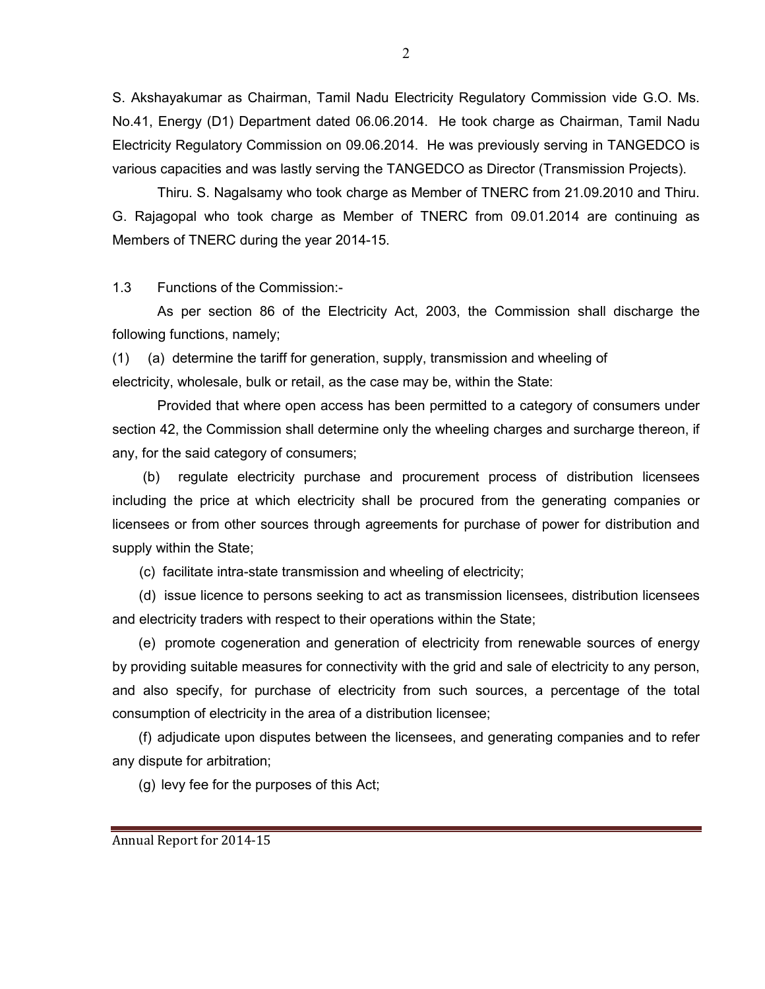S. Akshayakumar as Chairman, Tamil Nadu Electricity Regulatory Commission vide G.O. Ms. No.41, Energy (D1) Department dated 06.06.2014. He took charge as Chairman, Tamil Nadu Electricity Regulatory Commission on 09.06.2014. He was previously serving in TANGEDCO is various capacities and was lastly serving the TANGEDCO as Director (Transmission Projects).

Thiru. S. Nagalsamy who took charge as Member of TNERC from 21.09.2010 and Thiru. G. Rajagopal who took charge as Member of TNERC from 09.01.2014 are continuing as Members of TNERC during the year 2014-15.

1.3 Functions of the Commission:-

As per section 86 of the Electricity Act, 2003, the Commission shall discharge the following functions, namely;

(1) (a) determine the tariff for generation, supply, transmission and wheeling of electricity, wholesale, bulk or retail, as the case may be, within the State:

 Provided that where open access has been permitted to a category of consumers under section 42, the Commission shall determine only the wheeling charges and surcharge thereon, if any, for the said category of consumers;

 (b) regulate electricity purchase and procurement process of distribution licensees including the price at which electricity shall be procured from the generating companies or licensees or from other sources through agreements for purchase of power for distribution and supply within the State;

(c) facilitate intra-state transmission and wheeling of electricity;

 (d) issue licence to persons seeking to act as transmission licensees, distribution licensees and electricity traders with respect to their operations within the State;

(e) promote cogeneration and generation of electricity from renewable sources of energy by providing suitable measures for connectivity with the grid and sale of electricity to any person, and also specify, for purchase of electricity from such sources, a percentage of the total consumption of electricity in the area of a distribution licensee;

(f) adjudicate upon disputes between the licensees, and generating companies and to refer any dispute for arbitration;

(g) levy fee for the purposes of this Act;

2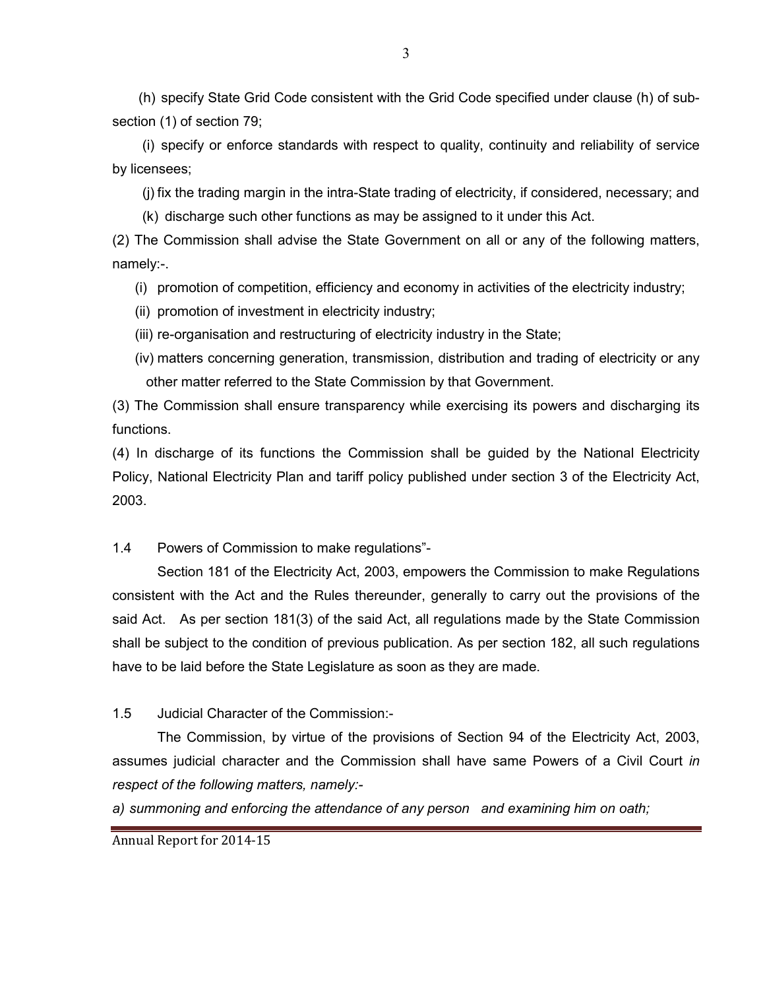(h) specify State Grid Code consistent with the Grid Code specified under clause (h) of subsection (1) of section 79;

(i) specify or enforce standards with respect to quality, continuity and reliability of service by licensees;

(j) fix the trading margin in the intra-State trading of electricity, if considered, necessary; and

(k) discharge such other functions as may be assigned to it under this Act.

(2) The Commission shall advise the State Government on all or any of the following matters, namely:-.

(i) promotion of competition, efficiency and economy in activities of the electricity industry;

(ii) promotion of investment in electricity industry;

(iii) re-organisation and restructuring of electricity industry in the State;

(iv) matters concerning generation, transmission, distribution and trading of electricity or any other matter referred to the State Commission by that Government.

(3) The Commission shall ensure transparency while exercising its powers and discharging its functions.

(4) In discharge of its functions the Commission shall be guided by the National Electricity Policy, National Electricity Plan and tariff policy published under section 3 of the Electricity Act, 2003.

1.4 Powers of Commission to make regulations"-

Section 181 of the Electricity Act, 2003, empowers the Commission to make Regulations consistent with the Act and the Rules thereunder, generally to carry out the provisions of the said Act. As per section 181(3) of the said Act, all regulations made by the State Commission shall be subject to the condition of previous publication. As per section 182, all such regulations have to be laid before the State Legislature as soon as they are made.

1.5 Judicial Character of the Commission:-

The Commission, by virtue of the provisions of Section 94 of the Electricity Act, 2003, assumes judicial character and the Commission shall have same Powers of a Civil Court in respect of the following matters, namely:-

a) summoning and enforcing the attendance of any person and examining him on oath;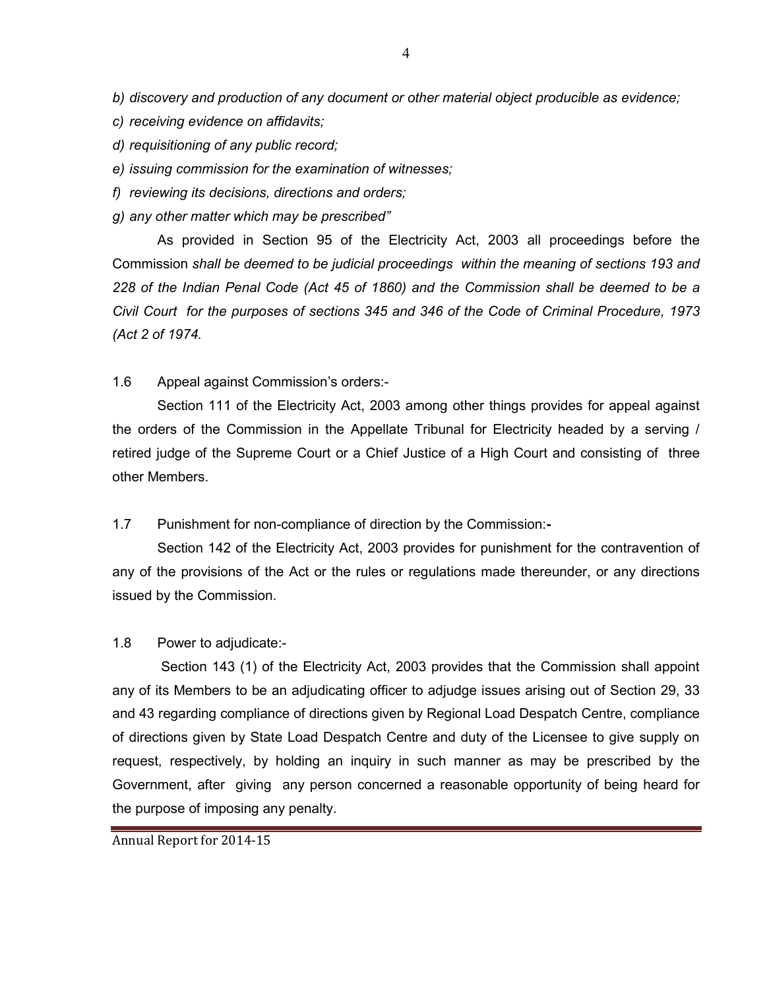- b) discovery and production of any document or other material object producible as evidence;
- c) receiving evidence on affidavits;
- d) requisitioning of any public record;
- e) issuing commission for the examination of witnesses;
- f) reviewing its decisions, directions and orders;
- g) any other matter which may be prescribed"

As provided in Section 95 of the Electricity Act, 2003 all proceedings before the Commission shall be deemed to be judicial proceedings within the meaning of sections 193 and 228 of the Indian Penal Code (Act 45 of 1860) and the Commission shall be deemed to be a Civil Court for the purposes of sections 345 and 346 of the Code of Criminal Procedure, 1973 (Act 2 of 1974.

#### 1.6 Appeal against Commission's orders:-

Section 111 of the Electricity Act, 2003 among other things provides for appeal against the orders of the Commission in the Appellate Tribunal for Electricity headed by a serving / retired judge of the Supreme Court or a Chief Justice of a High Court and consisting of three other Members.

### 1.7 Punishment for non-compliance of direction by the Commission:-

Section 142 of the Electricity Act, 2003 provides for punishment for the contravention of any of the provisions of the Act or the rules or regulations made thereunder, or any directions issued by the Commission.

#### 1.8 Power to adjudicate:-

Section 143 (1) of the Electricity Act, 2003 provides that the Commission shall appoint any of its Members to be an adjudicating officer to adjudge issues arising out of Section 29, 33 and 43 regarding compliance of directions given by Regional Load Despatch Centre, compliance of directions given by State Load Despatch Centre and duty of the Licensee to give supply on request, respectively, by holding an inquiry in such manner as may be prescribed by the Government, after giving any person concerned a reasonable opportunity of being heard for the purpose of imposing any penalty.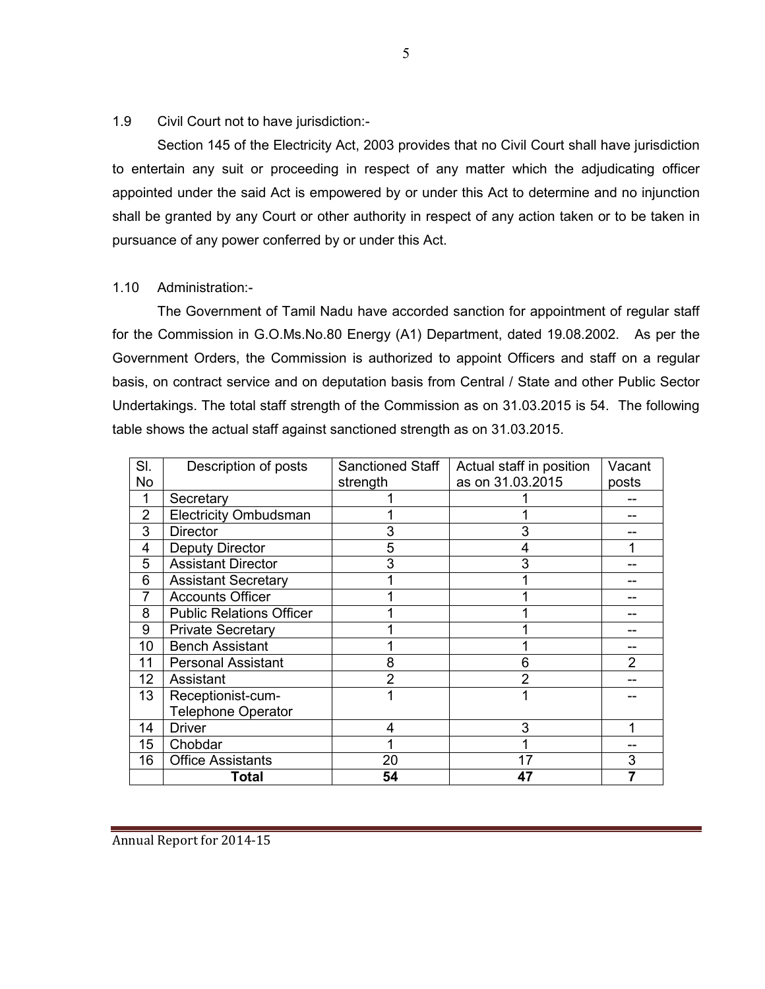1.9 Civil Court not to have jurisdiction:-

Section 145 of the Electricity Act, 2003 provides that no Civil Court shall have jurisdiction to entertain any suit or proceeding in respect of any matter which the adjudicating officer appointed under the said Act is empowered by or under this Act to determine and no injunction shall be granted by any Court or other authority in respect of any action taken or to be taken in pursuance of any power conferred by or under this Act.

### 1.10 Administration:-

The Government of Tamil Nadu have accorded sanction for appointment of regular staff for the Commission in G.O.Ms.No.80 Energy (A1) Department, dated 19.08.2002. As per the Government Orders, the Commission is authorized to appoint Officers and staff on a regular basis, on contract service and on deputation basis from Central / State and other Public Sector Undertakings. The total staff strength of the Commission as on 31.03.2015 is 54. The following table shows the actual staff against sanctioned strength as on 31.03.2015.

| SI. | Description of posts            | <b>Sanctioned Staff</b> | Actual staff in position |       |
|-----|---------------------------------|-------------------------|--------------------------|-------|
| No  |                                 | strength                | as on 31.03.2015         | posts |
| 1   | Secretary                       |                         |                          |       |
| 2   | <b>Electricity Ombudsman</b>    |                         |                          |       |
| 3   | <b>Director</b>                 | 3                       |                          |       |
| 4   | Deputy Director                 | 5                       |                          |       |
| 5   | <b>Assistant Director</b>       | 3                       | 3                        |       |
| 6   | <b>Assistant Secretary</b>      |                         |                          |       |
| 7   | <b>Accounts Officer</b>         |                         |                          |       |
| 8   | <b>Public Relations Officer</b> |                         |                          |       |
| 9   | <b>Private Secretary</b>        |                         |                          |       |
| 10  | <b>Bench Assistant</b>          |                         |                          |       |
| 11  | <b>Personal Assistant</b>       | 8                       | 6                        | 2     |
| 12  | Assistant                       | $\overline{2}$          | 2                        |       |
| 13  | Receptionist-cum-               | 1                       |                          |       |
|     | <b>Telephone Operator</b>       |                         |                          |       |
| 14  | <b>Driver</b>                   | 4                       | 3                        |       |
| 15  | Chobdar                         |                         |                          |       |
| 16  | <b>Office Assistants</b>        | 20                      | 17                       | 3     |
|     | Total                           | 54                      | 47                       |       |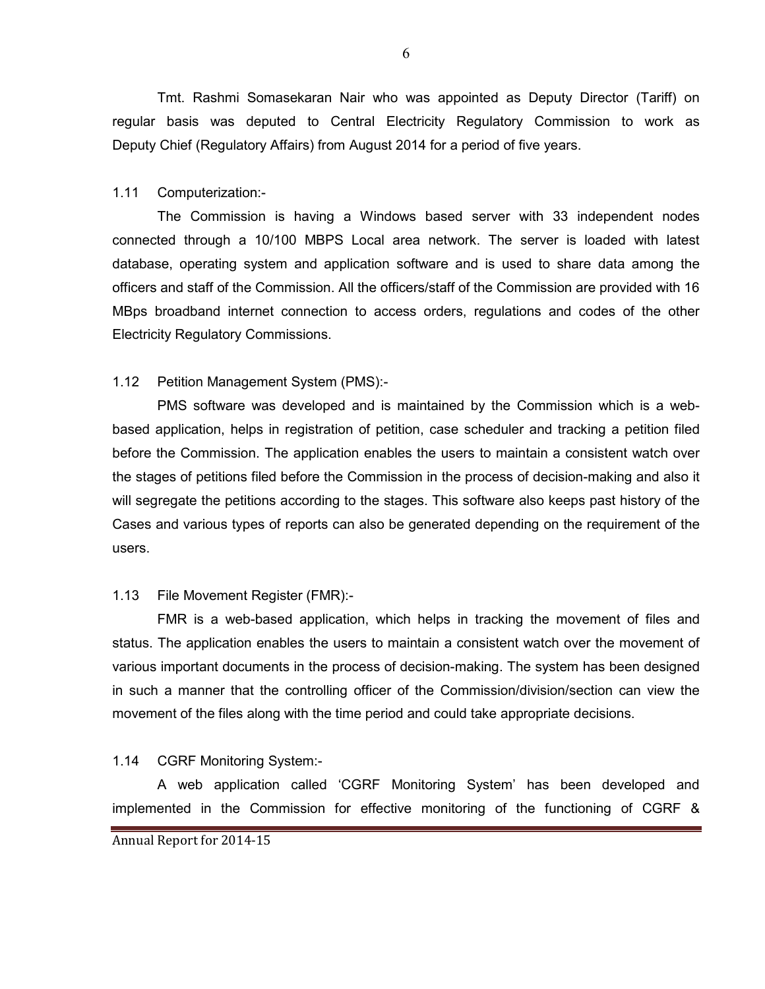Tmt. Rashmi Somasekaran Nair who was appointed as Deputy Director (Tariff) on regular basis was deputed to Central Electricity Regulatory Commission to work as Deputy Chief (Regulatory Affairs) from August 2014 for a period of five years.

#### 1.11 Computerization:-

The Commission is having a Windows based server with 33 independent nodes connected through a 10/100 MBPS Local area network. The server is loaded with latest database, operating system and application software and is used to share data among the officers and staff of the Commission. All the officers/staff of the Commission are provided with 16 MBps broadband internet connection to access orders, regulations and codes of the other Electricity Regulatory Commissions.

### 1.12 Petition Management System (PMS):-

PMS software was developed and is maintained by the Commission which is a webbased application, helps in registration of petition, case scheduler and tracking a petition filed before the Commission. The application enables the users to maintain a consistent watch over the stages of petitions filed before the Commission in the process of decision-making and also it will segregate the petitions according to the stages. This software also keeps past history of the Cases and various types of reports can also be generated depending on the requirement of the users.

### 1.13 File Movement Register (FMR):-

FMR is a web-based application, which helps in tracking the movement of files and status. The application enables the users to maintain a consistent watch over the movement of various important documents in the process of decision-making. The system has been designed in such a manner that the controlling officer of the Commission/division/section can view the movement of the files along with the time period and could take appropriate decisions.

### 1.14 CGRF Monitoring System:-

A web application called 'CGRF Monitoring System' has been developed and implemented in the Commission for effective monitoring of the functioning of CGRF &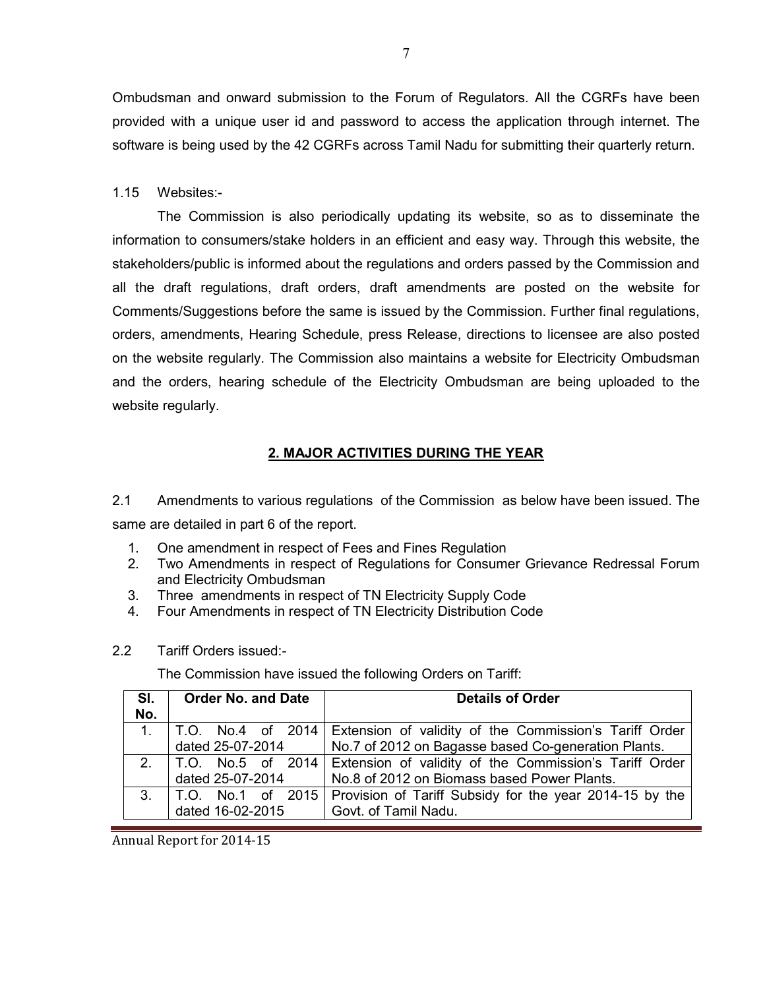Ombudsman and onward submission to the Forum of Regulators. All the CGRFs have been provided with a unique user id and password to access the application through internet. The software is being used by the 42 CGRFs across Tamil Nadu for submitting their quarterly return.

#### 1.15 Websites:-

The Commission is also periodically updating its website, so as to disseminate the information to consumers/stake holders in an efficient and easy way. Through this website, the stakeholders/public is informed about the regulations and orders passed by the Commission and all the draft regulations, draft orders, draft amendments are posted on the website for Comments/Suggestions before the same is issued by the Commission. Further final regulations, orders, amendments, Hearing Schedule, press Release, directions to licensee are also posted on the website regularly. The Commission also maintains a website for Electricity Ombudsman and the orders, hearing schedule of the Electricity Ombudsman are being uploaded to the website regularly.

## 2. MAJOR ACTIVITIES DURING THE YEAR

2.1 Amendments to various regulations of the Commission as below have been issued. The same are detailed in part 6 of the report.

- 1. One amendment in respect of Fees and Fines Regulation
- 2. Two Amendments in respect of Regulations for Consumer Grievance Redressal Forum and Electricity Ombudsman
- 3. Three amendments in respect of TN Electricity Supply Code
- 4. Four Amendments in respect of TN Electricity Distribution Code
- 2.2 Tariff Orders issued:-

The Commission have issued the following Orders on Tariff:

| SI.            | <b>Order No. and Date</b> | <b>Details of Order</b>                                                       |  |  |
|----------------|---------------------------|-------------------------------------------------------------------------------|--|--|
| No.            |                           |                                                                               |  |  |
| $1_{\cdot}$    |                           | T.O. No.4 of 2014   Extension of validity of the Commission's Tariff Order    |  |  |
|                | dated 25-07-2014          | No.7 of 2012 on Bagasse based Co-generation Plants.                           |  |  |
|                |                           | 2.   T.O. No.5 of 2014 Extension of validity of the Commission's Tariff Order |  |  |
|                | dated 25-07-2014          | No.8 of 2012 on Biomass based Power Plants.                                   |  |  |
| 3 <sub>1</sub> |                           | T.O. No.1 of 2015   Provision of Tariff Subsidy for the year 2014-15 by the   |  |  |
|                | dated 16-02-2015          | Govt. of Tamil Nadu.                                                          |  |  |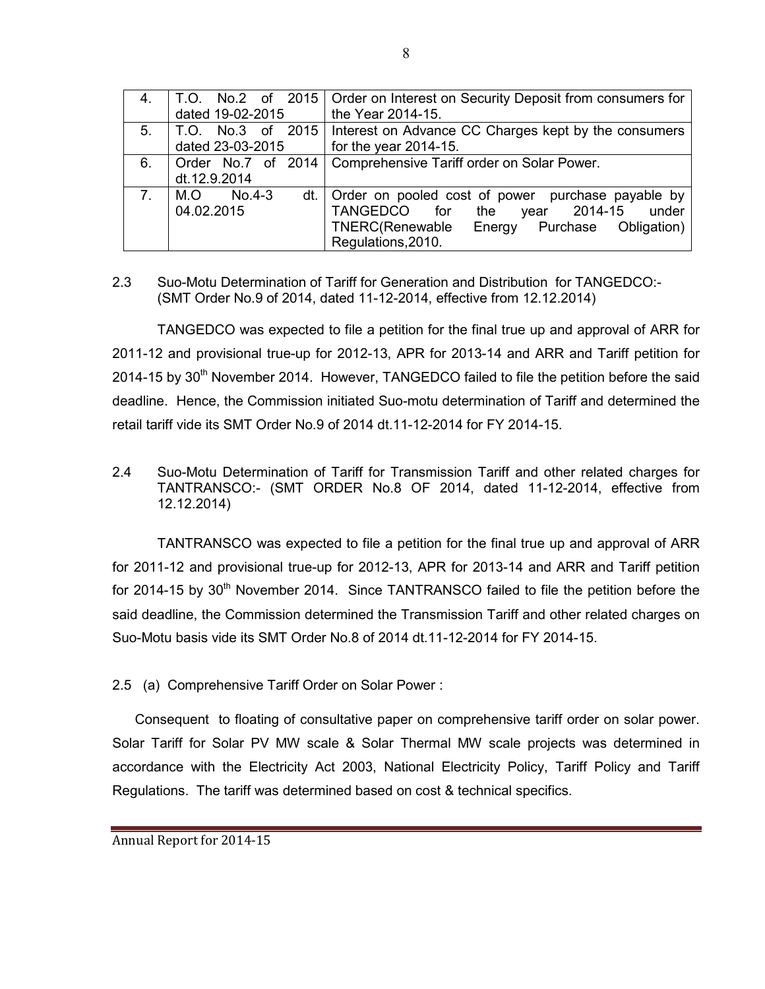| 4.             |                  | T.O. No.2 of 2015   Order on Interest on Security Deposit from consumers for |  |  |
|----------------|------------------|------------------------------------------------------------------------------|--|--|
|                | dated 19-02-2015 | the Year 2014-15.                                                            |  |  |
| 5 <sub>1</sub> |                  | T.O. No.3 of 2015   Interest on Advance CC Charges kept by the consumers     |  |  |
|                | dated 23-03-2015 | for the year $2014-15$ .                                                     |  |  |
| 6.             |                  | Order No.7 of 2014   Comprehensive Tariff order on Solar Power.              |  |  |
|                | dt.12.9.2014     |                                                                              |  |  |
| 7 <sub>1</sub> | M.O.<br>$No.4-3$ | dt. Order on pooled cost of power purchase payable by                        |  |  |
|                | 04.02.2015       | TANGEDCO for<br>year 2014-15<br>under<br>the                                 |  |  |
|                |                  | TNERC(Renewable<br>Energy Purchase<br>Obligation)                            |  |  |
|                |                  | Regulations, 2010.                                                           |  |  |

## 2.3 Suo-Motu Determination of Tariff for Generation and Distribution for TANGEDCO:- (SMT Order No.9 of 2014, dated 11-12-2014, effective from 12.12.2014)

 TANGEDCO was expected to file a petition for the final true up and approval of ARR for 2011-12 and provisional true-up for 2012-13, APR for 2013-14 and ARR and Tariff petition for 2014-15 by  $30<sup>th</sup>$  November 2014. However, TANGEDCO failed to file the petition before the said deadline. Hence, the Commission initiated Suo-motu determination of Tariff and determined the retail tariff vide its SMT Order No.9 of 2014 dt.11-12-2014 for FY 2014-15.

2.4 Suo-Motu Determination of Tariff for Transmission Tariff and other related charges for TANTRANSCO:- (SMT ORDER No.8 OF 2014, dated 11-12-2014, effective from 12.12.2014)

TANTRANSCO was expected to file a petition for the final true up and approval of ARR for 2011-12 and provisional true-up for 2012-13, APR for 2013-14 and ARR and Tariff petition for 2014-15 by  $30<sup>th</sup>$  November 2014. Since TANTRANSCO failed to file the petition before the said deadline, the Commission determined the Transmission Tariff and other related charges on Suo-Motu basis vide its SMT Order No.8 of 2014 dt.11-12-2014 for FY 2014-15.

2.5 (a) Comprehensive Tariff Order on Solar Power :

Consequent to floating of consultative paper on comprehensive tariff order on solar power. Solar Tariff for Solar PV MW scale & Solar Thermal MW scale projects was determined in accordance with the Electricity Act 2003, National Electricity Policy, Tariff Policy and Tariff Regulations. The tariff was determined based on cost & technical specifics.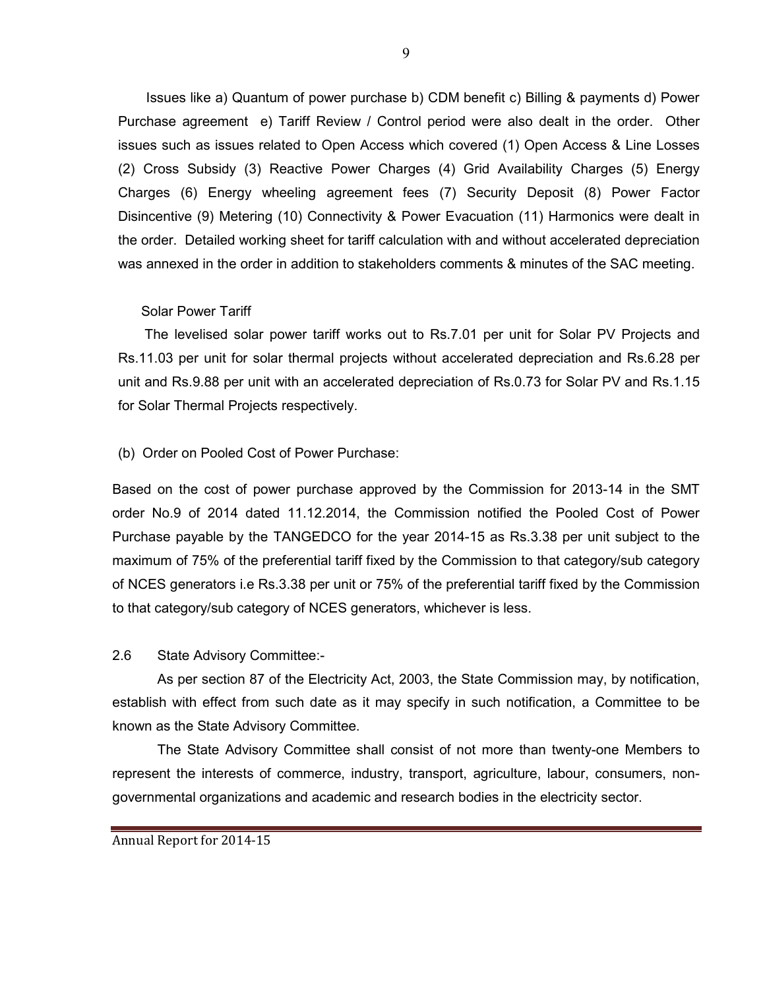Issues like a) Quantum of power purchase b) CDM benefit c) Billing & payments d) Power Purchase agreement e) Tariff Review / Control period were also dealt in the order. Other issues such as issues related to Open Access which covered (1) Open Access & Line Losses (2) Cross Subsidy (3) Reactive Power Charges (4) Grid Availability Charges (5) Energy Charges (6) Energy wheeling agreement fees (7) Security Deposit (8) Power Factor Disincentive (9) Metering (10) Connectivity & Power Evacuation (11) Harmonics were dealt in the order. Detailed working sheet for tariff calculation with and without accelerated depreciation was annexed in the order in addition to stakeholders comments & minutes of the SAC meeting.

#### Solar Power Tariff

 The levelised solar power tariff works out to Rs.7.01 per unit for Solar PV Projects and Rs.11.03 per unit for solar thermal projects without accelerated depreciation and Rs.6.28 per unit and Rs.9.88 per unit with an accelerated depreciation of Rs.0.73 for Solar PV and Rs.1.15 for Solar Thermal Projects respectively.

#### (b) Order on Pooled Cost of Power Purchase:

Based on the cost of power purchase approved by the Commission for 2013-14 in the SMT order No.9 of 2014 dated 11.12.2014, the Commission notified the Pooled Cost of Power Purchase payable by the TANGEDCO for the year 2014-15 as Rs.3.38 per unit subject to the maximum of 75% of the preferential tariff fixed by the Commission to that category/sub category of NCES generators i.e Rs.3.38 per unit or 75% of the preferential tariff fixed by the Commission to that category/sub category of NCES generators, whichever is less.

#### 2.6 State Advisory Committee:-

As per section 87 of the Electricity Act, 2003, the State Commission may, by notification, establish with effect from such date as it may specify in such notification, a Committee to be known as the State Advisory Committee.

The State Advisory Committee shall consist of not more than twenty-one Members to represent the interests of commerce, industry, transport, agriculture, labour, consumers, nongovernmental organizations and academic and research bodies in the electricity sector.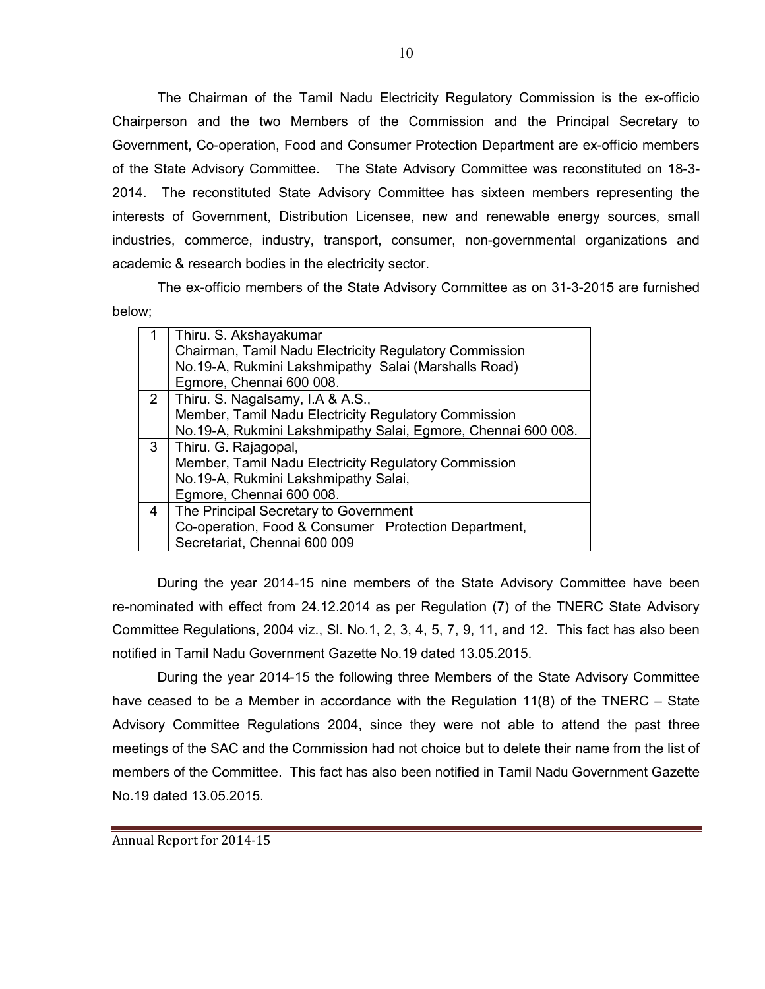The Chairman of the Tamil Nadu Electricity Regulatory Commission is the ex-officio Chairperson and the two Members of the Commission and the Principal Secretary to Government, Co-operation, Food and Consumer Protection Department are ex-officio members of the State Advisory Committee. The State Advisory Committee was reconstituted on 18-3- 2014. The reconstituted State Advisory Committee has sixteen members representing the interests of Government, Distribution Licensee, new and renewable energy sources, small industries, commerce, industry, transport, consumer, non-governmental organizations and academic & research bodies in the electricity sector.

The ex-officio members of the State Advisory Committee as on 31-3-2015 are furnished below;

|   | Thiru. S. Akshayakumar                                        |  |  |  |
|---|---------------------------------------------------------------|--|--|--|
|   | Chairman, Tamil Nadu Electricity Regulatory Commission        |  |  |  |
|   | No.19-A, Rukmini Lakshmipathy Salai (Marshalls Road)          |  |  |  |
|   | Egmore, Chennai 600 008.                                      |  |  |  |
| 2 | Thiru. S. Nagalsamy, I.A & A.S.,                              |  |  |  |
|   | Member, Tamil Nadu Electricity Regulatory Commission          |  |  |  |
|   | No.19-A, Rukmini Lakshmipathy Salai, Egmore, Chennai 600 008. |  |  |  |
| 3 | Thiru. G. Rajagopal,                                          |  |  |  |
|   | Member, Tamil Nadu Electricity Regulatory Commission          |  |  |  |
|   | No.19-A, Rukmini Lakshmipathy Salai,                          |  |  |  |
|   | Egmore, Chennai 600 008.                                      |  |  |  |
| 4 | The Principal Secretary to Government                         |  |  |  |
|   | Co-operation, Food & Consumer Protection Department,          |  |  |  |
|   | Secretariat, Chennai 600 009                                  |  |  |  |

 During the year 2014-15 nine members of the State Advisory Committee have been re-nominated with effect from 24.12.2014 as per Regulation (7) of the TNERC State Advisory Committee Regulations, 2004 viz., Sl. No.1, 2, 3, 4, 5, 7, 9, 11, and 12. This fact has also been notified in Tamil Nadu Government Gazette No.19 dated 13.05.2015.

 During the year 2014-15 the following three Members of the State Advisory Committee have ceased to be a Member in accordance with the Regulation 11(8) of the TNERC – State Advisory Committee Regulations 2004, since they were not able to attend the past three meetings of the SAC and the Commission had not choice but to delete their name from the list of members of the Committee. This fact has also been notified in Tamil Nadu Government Gazette No.19 dated 13.05.2015.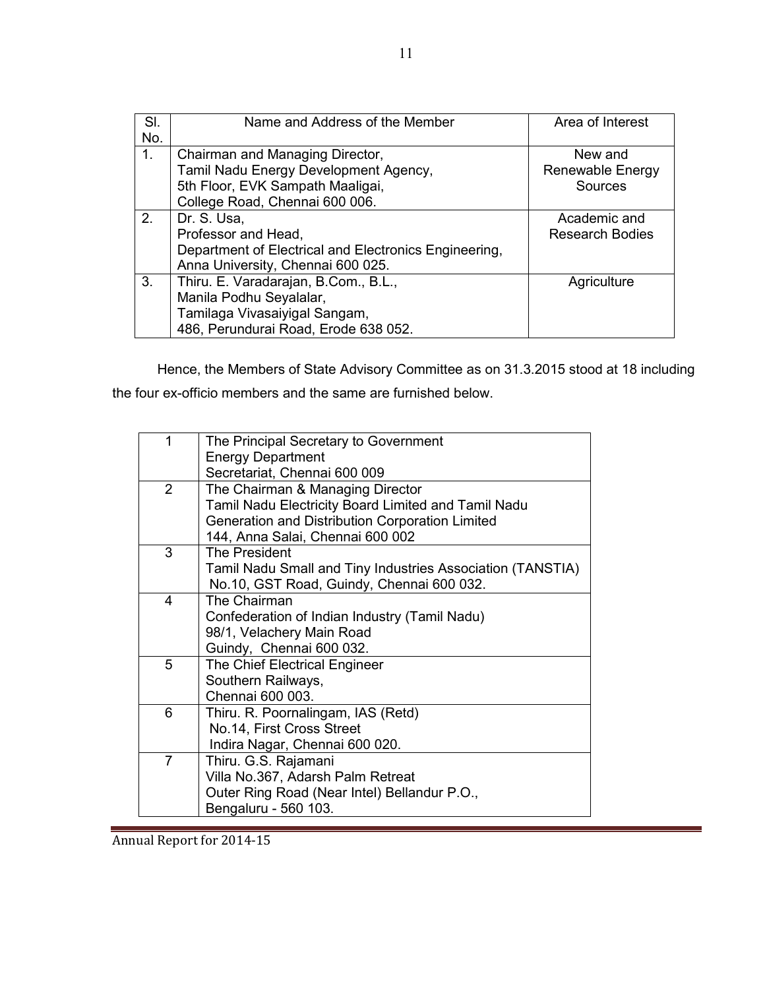| SI. | Name and Address of the Member                        | Area of Interest       |
|-----|-------------------------------------------------------|------------------------|
| No. |                                                       |                        |
| 1.  | Chairman and Managing Director,                       | New and                |
|     | Tamil Nadu Energy Development Agency,                 | Renewable Energy       |
|     | 5th Floor, EVK Sampath Maaligai,                      | Sources                |
|     | College Road, Chennai 600 006.                        |                        |
| 2.  | Dr. S. Usa,                                           | Academic and           |
|     | Professor and Head,                                   | <b>Research Bodies</b> |
|     | Department of Electrical and Electronics Engineering, |                        |
|     | Anna University, Chennai 600 025.                     |                        |
| 3.  | Thiru. E. Varadarajan, B.Com., B.L.,                  | Agriculture            |
|     | Manila Podhu Seyalalar,                               |                        |
|     | Tamilaga Vivasaiyigal Sangam,                         |                        |
|     | 486, Perundurai Road, Erode 638 052.                  |                        |

Hence, the Members of State Advisory Committee as on 31.3.2015 stood at 18 including the four ex-officio members and the same are furnished below.

| Secretariat, Chennai 600 009<br>The Chairman & Managing Director                                       |  |  |  |
|--------------------------------------------------------------------------------------------------------|--|--|--|
|                                                                                                        |  |  |  |
| Tamil Nadu Electricity Board Limited and Tamil Nadu<br>Generation and Distribution Corporation Limited |  |  |  |
|                                                                                                        |  |  |  |
|                                                                                                        |  |  |  |
|                                                                                                        |  |  |  |
| Tamil Nadu Small and Tiny Industries Association (TANSTIA)                                             |  |  |  |
|                                                                                                        |  |  |  |
|                                                                                                        |  |  |  |
|                                                                                                        |  |  |  |
|                                                                                                        |  |  |  |
| Guindy, Chennai 600 032.<br>The Chief Electrical Engineer                                              |  |  |  |
|                                                                                                        |  |  |  |
|                                                                                                        |  |  |  |
|                                                                                                        |  |  |  |
|                                                                                                        |  |  |  |
|                                                                                                        |  |  |  |
|                                                                                                        |  |  |  |
|                                                                                                        |  |  |  |
|                                                                                                        |  |  |  |
|                                                                                                        |  |  |  |
|                                                                                                        |  |  |  |
|                                                                                                        |  |  |  |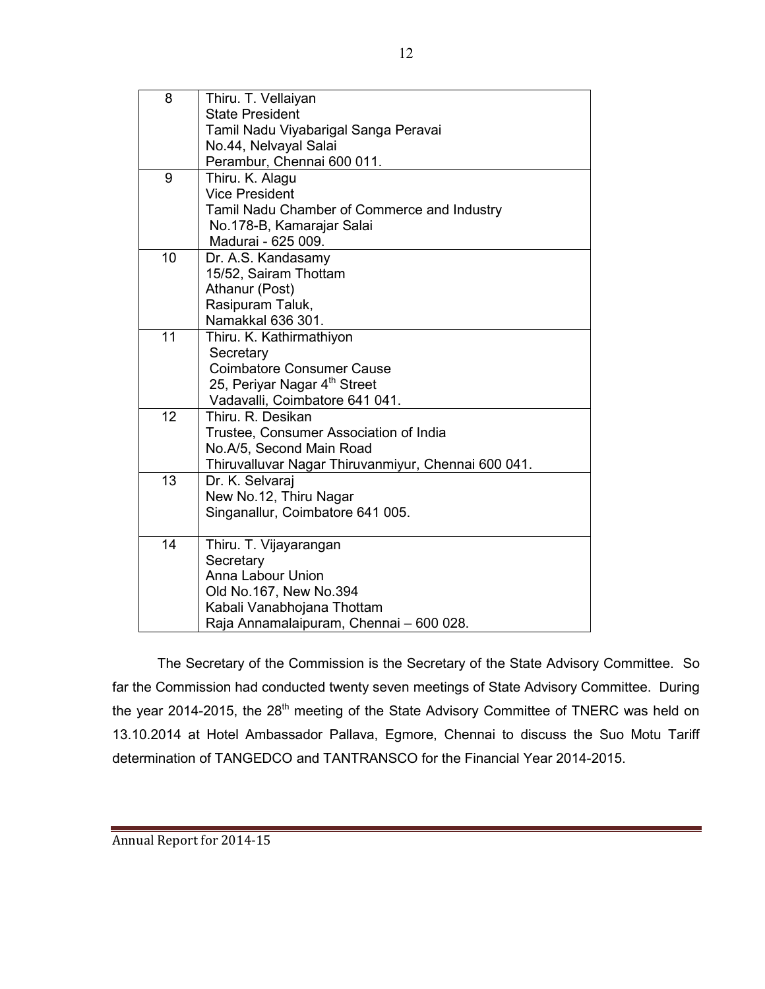| 8               | Thiru. T. Vellaiyan                                 |
|-----------------|-----------------------------------------------------|
|                 | <b>State President</b>                              |
|                 | Tamil Nadu Viyabarigal Sanga Peravai                |
|                 | No.44, Nelvayal Salai                               |
|                 | Perambur, Chennai 600 011.                          |
| $\overline{9}$  | Thiru. K. Alagu                                     |
|                 | <b>Vice President</b>                               |
|                 | Tamil Nadu Chamber of Commerce and Industry         |
|                 | No.178-B, Kamarajar Salai                           |
|                 | Madurai - 625 009.                                  |
| 10              | Dr. A.S. Kandasamy                                  |
|                 | 15/52, Sairam Thottam                               |
|                 | Athanur (Post)                                      |
|                 | Rasipuram Taluk,                                    |
|                 | Namakkal 636 301.                                   |
| 11              | Thiru. K. Kathirmathiyon                            |
|                 | Secretary                                           |
|                 | <b>Coimbatore Consumer Cause</b>                    |
|                 | 25, Periyar Nagar 4 <sup>th</sup> Street            |
|                 | Vadavalli, Coimbatore 641 041.                      |
| 12              | Thiru, R. Desikan                                   |
|                 | Trustee, Consumer Association of India              |
|                 | No.A/5, Second Main Road                            |
|                 | Thiruvalluvar Nagar Thiruvanmiyur, Chennai 600 041. |
| $\overline{13}$ | Dr. K. Selvaraj                                     |
|                 | New No.12, Thiru Nagar                              |
|                 | Singanallur, Coimbatore 641 005.                    |
| 14              |                                                     |
|                 | Thiru. T. Vijayarangan                              |
|                 | Secretary<br><b>Anna Labour Union</b>               |
|                 |                                                     |
|                 | Old No.167, New No.394                              |
|                 | Kabali Vanabhojana Thottam                          |
|                 | Raja Annamalaipuram, Chennai - 600 028.             |

The Secretary of the Commission is the Secretary of the State Advisory Committee. So far the Commission had conducted twenty seven meetings of State Advisory Committee. During the year 2014-2015, the 28<sup>th</sup> meeting of the State Advisory Committee of TNERC was held on 13.10.2014 at Hotel Ambassador Pallava, Egmore, Chennai to discuss the Suo Motu Tariff determination of TANGEDCO and TANTRANSCO for the Financial Year 2014-2015.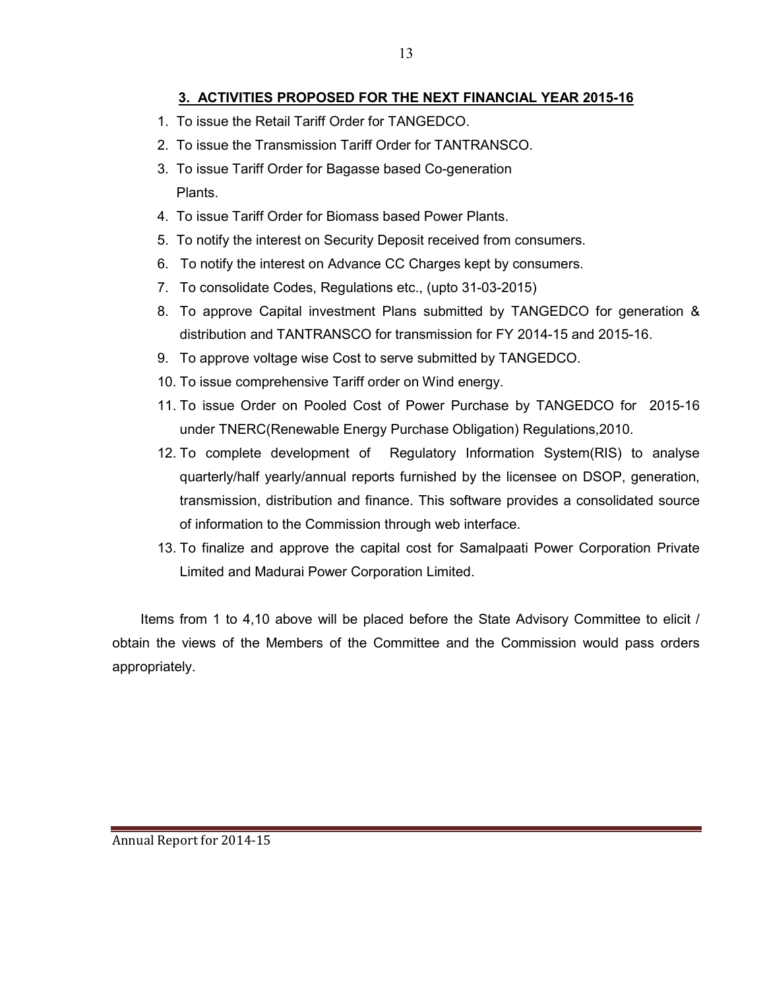# 3. ACTIVITIES PROPOSED FOR THE NEXT FINANCIAL YEAR 2015-16

- 1. To issue the Retail Tariff Order for TANGEDCO.
- 2. To issue the Transmission Tariff Order for TANTRANSCO.
- 3. To issue Tariff Order for Bagasse based Co-generation Plants.
- 4. To issue Tariff Order for Biomass based Power Plants.
- 5. To notify the interest on Security Deposit received from consumers.
- 6. To notify the interest on Advance CC Charges kept by consumers.
- 7. To consolidate Codes, Regulations etc., (upto 31-03-2015)
- 8. To approve Capital investment Plans submitted by TANGEDCO for generation & distribution and TANTRANSCO for transmission for FY 2014-15 and 2015-16.
- 9. To approve voltage wise Cost to serve submitted by TANGEDCO.
- 10. To issue comprehensive Tariff order on Wind energy.
- 11. To issue Order on Pooled Cost of Power Purchase by TANGEDCO for 2015-16 under TNERC(Renewable Energy Purchase Obligation) Regulations,2010.
- 12. To complete development of Regulatory Information System(RIS) to analyse quarterly/half yearly/annual reports furnished by the licensee on DSOP, generation, transmission, distribution and finance. This software provides a consolidated source of information to the Commission through web interface.
- 13. To finalize and approve the capital cost for Samalpaati Power Corporation Private Limited and Madurai Power Corporation Limited.

Items from 1 to 4,10 above will be placed before the State Advisory Committee to elicit / obtain the views of the Members of the Committee and the Commission would pass orders appropriately.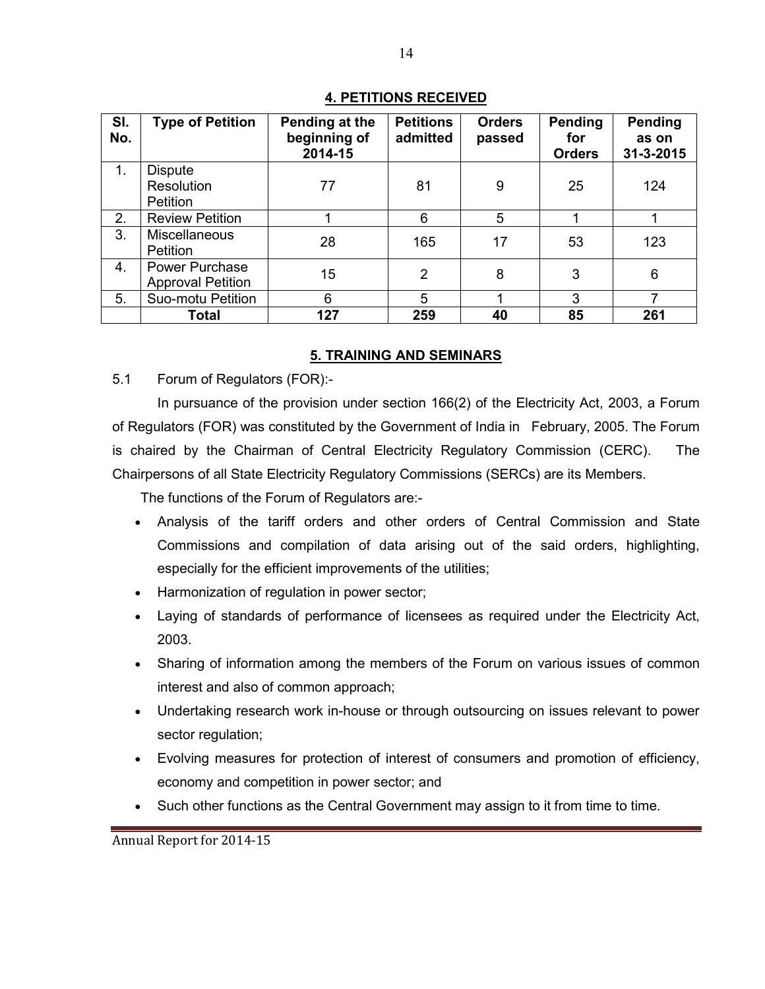## 4. PETITIONS RECEIVED

| SI.<br>No. | <b>Type of Petition</b>                           | Pending at the<br>beginning of<br>2014-15 | <b>Petitions</b><br>admitted | <b>Orders</b><br>passed | Pending<br>for<br><b>Orders</b> | Pending<br>as on<br>31-3-2015 |
|------------|---------------------------------------------------|-------------------------------------------|------------------------------|-------------------------|---------------------------------|-------------------------------|
| 1.         | <b>Dispute</b><br>Resolution<br>Petition          | 77                                        | 81                           | 9                       | 25                              | 124                           |
| 2.         | <b>Review Petition</b>                            |                                           | 6                            | 5                       |                                 |                               |
| 3.         | <b>Miscellaneous</b><br>Petition                  | 28                                        | 165                          | 17                      | 53                              | 123                           |
| 4.         | <b>Power Purchase</b><br><b>Approval Petition</b> | 15                                        | $\overline{2}$               | 8                       | 3                               | 6                             |
| 5.         | Suo-motu Petition                                 | 6                                         | 5                            |                         | 3                               | ⇁                             |
|            | <b>Total</b>                                      | 127                                       | 259                          | 40                      | 85                              | 261                           |

## 5. TRAINING AND SEMINARS

5.1 Forum of Regulators (FOR):-

In pursuance of the provision under section 166(2) of the Electricity Act, 2003, a Forum of Regulators (FOR) was constituted by the Government of India in February, 2005. The Forum is chaired by the Chairman of Central Electricity Regulatory Commission (CERC). The Chairpersons of all State Electricity Regulatory Commissions (SERCs) are its Members.

The functions of the Forum of Regulators are:-

- Analysis of the tariff orders and other orders of Central Commission and State Commissions and compilation of data arising out of the said orders, highlighting, especially for the efficient improvements of the utilities;
- Harmonization of regulation in power sector;
- Laying of standards of performance of licensees as required under the Electricity Act, 2003.
- Sharing of information among the members of the Forum on various issues of common interest and also of common approach;
- Undertaking research work in-house or through outsourcing on issues relevant to power sector regulation;
- Evolving measures for protection of interest of consumers and promotion of efficiency, economy and competition in power sector; and
- Such other functions as the Central Government may assign to it from time to time.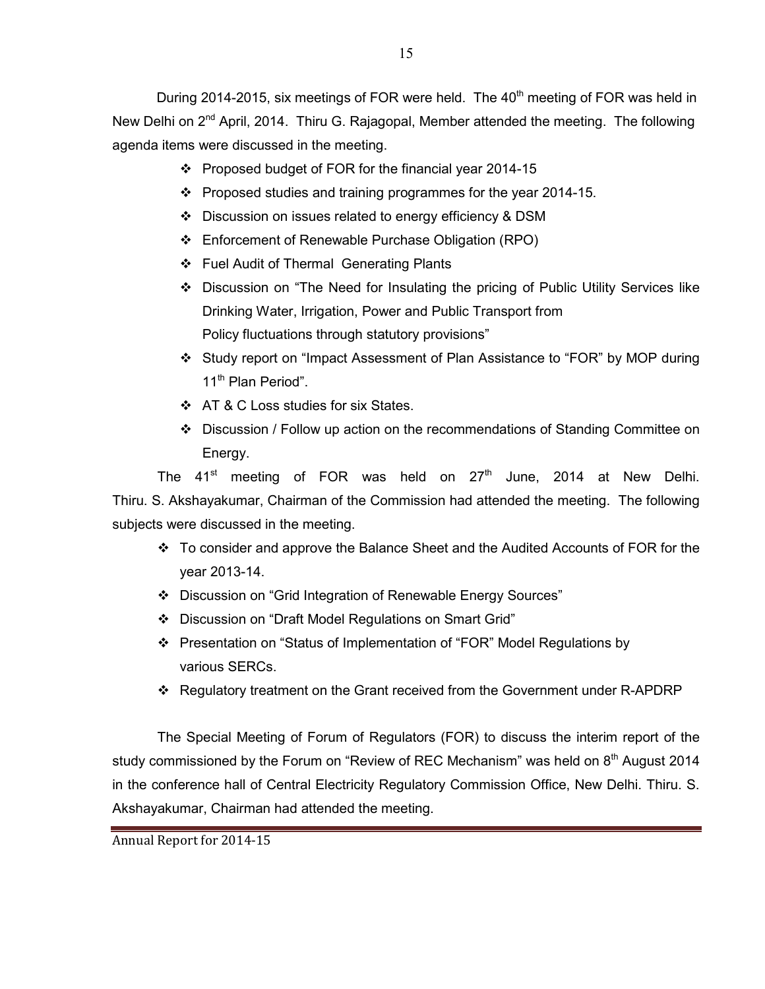- Proposed budget of FOR for the financial year 2014-15
- $\cdot \cdot$  Proposed studies and training programmes for the year 2014-15.
- Discussion on issues related to energy efficiency & DSM
- Enforcement of Renewable Purchase Obligation (RPO)
- Fuel Audit of Thermal Generating Plants
- Discussion on "The Need for Insulating the pricing of Public Utility Services like Drinking Water, Irrigation, Power and Public Transport from Policy fluctuations through statutory provisions"
- Study report on "Impact Assessment of Plan Assistance to "FOR" by MOP during 11<sup>th</sup> Plan Period".
- ❖ AT & C Loss studies for six States.
- Discussion / Follow up action on the recommendations of Standing Committee on Energy.

The 41<sup>st</sup> meeting of FOR was held on 27<sup>th</sup> June, 2014 at New Delhi. Thiru. S. Akshayakumar, Chairman of the Commission had attended the meeting. The following subjects were discussed in the meeting.

- $\div$  To consider and approve the Balance Sheet and the Audited Accounts of FOR for the year 2013-14.
- Discussion on "Grid Integration of Renewable Energy Sources"
- Discussion on "Draft Model Regulations on Smart Grid"
- Presentation on "Status of Implementation of "FOR" Model Regulations by various SERCs.
- Regulatory treatment on the Grant received from the Government under R-APDRP

The Special Meeting of Forum of Regulators (FOR) to discuss the interim report of the study commissioned by the Forum on "Review of REC Mechanism" was held on  $8<sup>th</sup>$  August 2014 in the conference hall of Central Electricity Regulatory Commission Office, New Delhi. Thiru. S. Akshayakumar, Chairman had attended the meeting.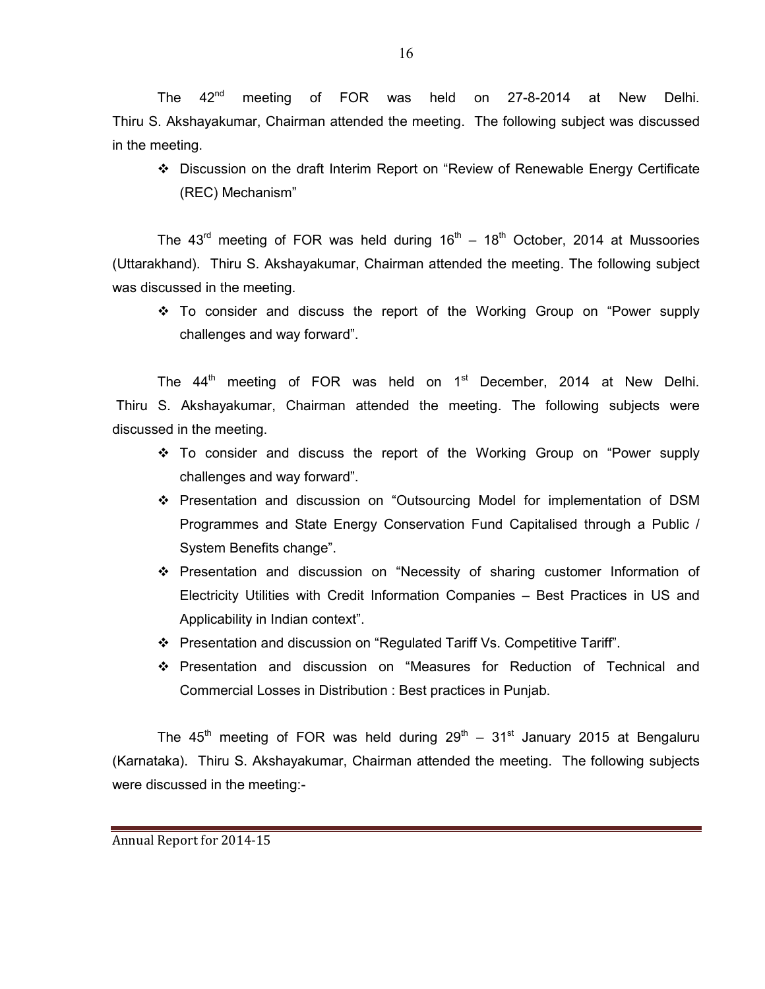The 42<sup>nd</sup> meeting of FOR was held on 27-8-2014 at New Delhi. Thiru S. Akshayakumar, Chairman attended the meeting. The following subject was discussed in the meeting.

 Discussion on the draft Interim Report on "Review of Renewable Energy Certificate (REC) Mechanism"

The  $43^{\text{rd}}$  meeting of FOR was held during  $16^{\text{th}} - 18^{\text{th}}$  October, 2014 at Mussoories (Uttarakhand). Thiru S. Akshayakumar, Chairman attended the meeting. The following subject was discussed in the meeting.

 To consider and discuss the report of the Working Group on "Power supply challenges and way forward".

The  $44<sup>th</sup>$  meeting of FOR was held on  $1<sup>st</sup>$  December, 2014 at New Delhi. Thiru S. Akshayakumar, Chairman attended the meeting. The following subjects were discussed in the meeting.

- \* To consider and discuss the report of the Working Group on "Power supply challenges and way forward".
- Presentation and discussion on "Outsourcing Model for implementation of DSM Programmes and State Energy Conservation Fund Capitalised through a Public / System Benefits change".
- Presentation and discussion on "Necessity of sharing customer Information of Electricity Utilities with Credit Information Companies – Best Practices in US and Applicability in Indian context".
- Presentation and discussion on "Regulated Tariff Vs. Competitive Tariff".
- Presentation and discussion on "Measures for Reduction of Technical and Commercial Losses in Distribution : Best practices in Punjab.

The 45<sup>th</sup> meeting of FOR was held during  $29^{th}$  – 31<sup>st</sup> January 2015 at Bengaluru (Karnataka). Thiru S. Akshayakumar, Chairman attended the meeting. The following subjects were discussed in the meeting:-

Annual Report for 2014-15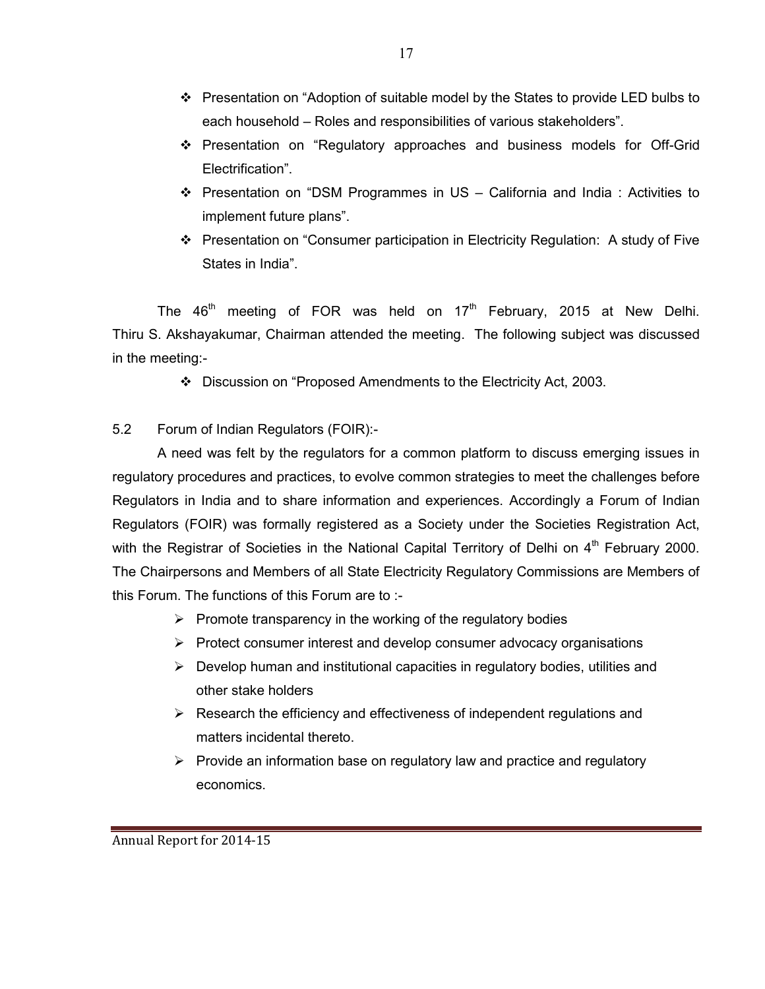- $\div$  Presentation on "Adoption of suitable model by the States to provide LED bulbs to each household – Roles and responsibilities of various stakeholders".
- Presentation on "Regulatory approaches and business models for Off-Grid Electrification".
- $\div$  Presentation on "DSM Programmes in US California and India : Activities to implement future plans".
- Presentation on "Consumer participation in Electricity Regulation: A study of Five States in India".

The  $46<sup>th</sup>$  meeting of FOR was held on 17<sup>th</sup> February, 2015 at New Delhi. Thiru S. Akshayakumar, Chairman attended the meeting. The following subject was discussed in the meeting:-

Discussion on "Proposed Amendments to the Electricity Act, 2003.

# 5.2 Forum of Indian Regulators (FOIR):-

A need was felt by the regulators for a common platform to discuss emerging issues in regulatory procedures and practices, to evolve common strategies to meet the challenges before Regulators in India and to share information and experiences. Accordingly a Forum of Indian Regulators (FOIR) was formally registered as a Society under the Societies Registration Act, with the Registrar of Societies in the National Capital Territory of Delhi on 4<sup>th</sup> February 2000. The Chairpersons and Members of all State Electricity Regulatory Commissions are Members of this Forum. The functions of this Forum are to :-

- > Promote transparency in the working of the regulatory bodies
- > Protect consumer interest and develop consumer advocacy organisations
- > Develop human and institutional capacities in regulatory bodies, utilities and other stake holders
- > Research the efficiency and effectiveness of independent regulations and matters incidental thereto.
- > Provide an information base on regulatory law and practice and regulatory economics.

17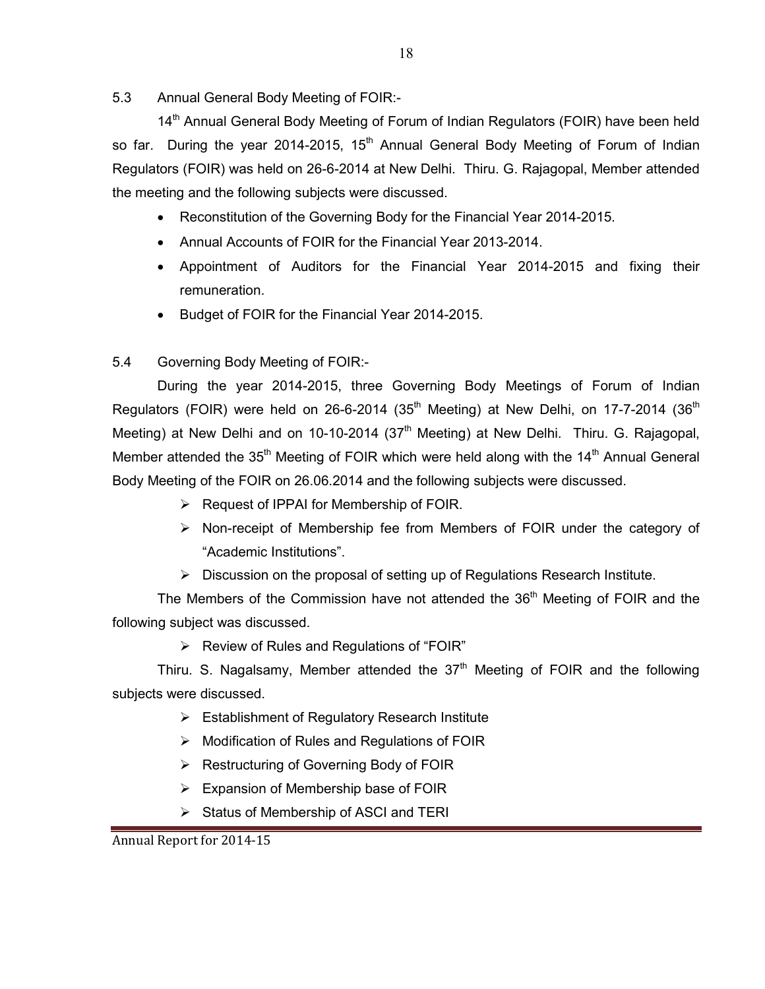5.3 Annual General Body Meeting of FOIR:-

14<sup>th</sup> Annual General Body Meeting of Forum of Indian Regulators (FOIR) have been held so far. During the year 2014-2015,  $15<sup>th</sup>$  Annual General Body Meeting of Forum of Indian Regulators (FOIR) was held on 26-6-2014 at New Delhi. Thiru. G. Rajagopal, Member attended the meeting and the following subjects were discussed.

- Reconstitution of the Governing Body for the Financial Year 2014-2015.
- Annual Accounts of FOIR for the Financial Year 2013-2014.
- Appointment of Auditors for the Financial Year 2014-2015 and fixing their remuneration.
- Budget of FOIR for the Financial Year 2014-2015.
- 5.4 Governing Body Meeting of FOIR:-

During the year 2014-2015, three Governing Body Meetings of Forum of Indian Regulators (FOIR) were held on 26-6-2014 (35<sup>th</sup> Meeting) at New Delhi, on 17-7-2014 (36<sup>th</sup> Meeting) at New Delhi and on 10-10-2014 ( $37<sup>th</sup>$  Meeting) at New Delhi. Thiru. G. Rajagopal, Member attended the  $35<sup>th</sup>$  Meeting of FOIR which were held along with the  $14<sup>th</sup>$  Annual General Body Meeting of the FOIR on 26.06.2014 and the following subjects were discussed.

- > Request of IPPAI for Membership of FOIR.
- > Non-receipt of Membership fee from Members of FOIR under the category of "Academic Institutions".
- > Discussion on the proposal of setting up of Regulations Research Institute.

The Members of the Commission have not attended the  $36<sup>th</sup>$  Meeting of FOIR and the following subject was discussed.

▶ Review of Rules and Regulations of "FOIR"

Thiru. S. Nagalsamy, Member attended the  $37<sup>th</sup>$  Meeting of FOIR and the following subjects were discussed.

- > Establishment of Regulatory Research Institute
- > Modification of Rules and Regulations of FOIR
- > Restructuring of Governing Body of FOIR
- > Expansion of Membership base of FOIR
- Status of Membership of ASCI and TERI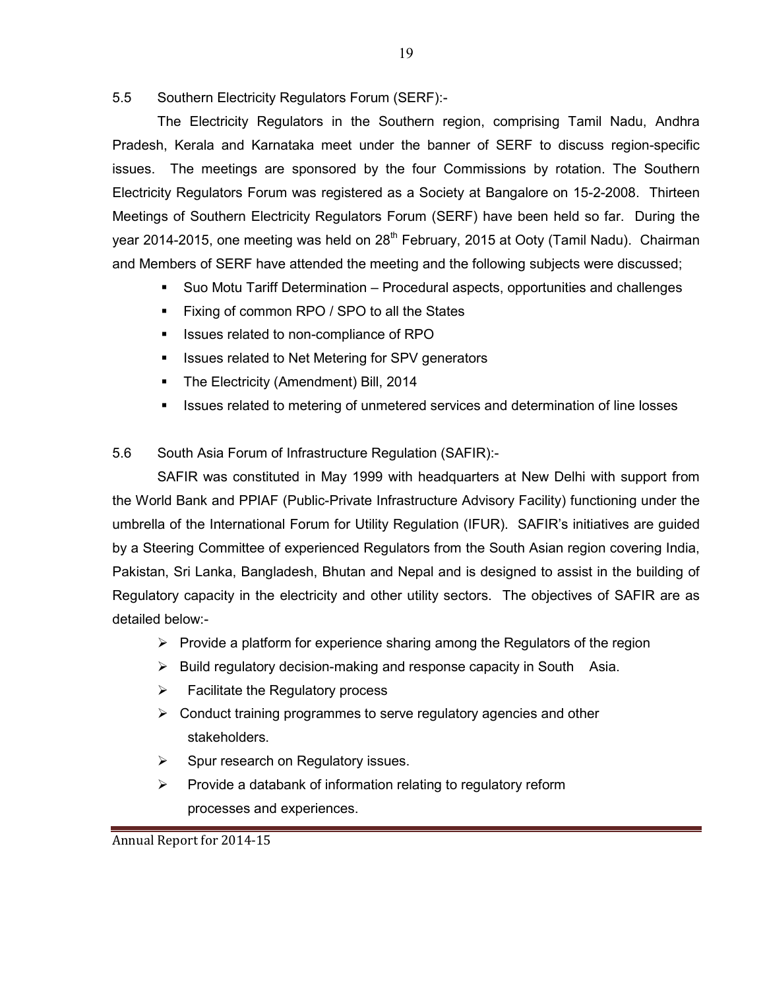5.5 Southern Electricity Regulators Forum (SERF):-

The Electricity Regulators in the Southern region, comprising Tamil Nadu, Andhra Pradesh, Kerala and Karnataka meet under the banner of SERF to discuss region-specific issues. The meetings are sponsored by the four Commissions by rotation. The Southern Electricity Regulators Forum was registered as a Society at Bangalore on 15-2-2008. Thirteen Meetings of Southern Electricity Regulators Forum (SERF) have been held so far. During the year 2014-2015, one meeting was held on 28<sup>th</sup> February, 2015 at Ooty (Tamil Nadu). Chairman and Members of SERF have attended the meeting and the following subjects were discussed;

- Suo Motu Tariff Determination Procedural aspects, opportunities and challenges
- Fixing of common RPO / SPO to all the States
- Issues related to non-compliance of RPO
- Issues related to Net Metering for SPV generators
- The Electricity (Amendment) Bill, 2014
- Issues related to metering of unmetered services and determination of line losses

5.6 South Asia Forum of Infrastructure Regulation (SAFIR):-

 SAFIR was constituted in May 1999 with headquarters at New Delhi with support from the World Bank and PPIAF (Public-Private Infrastructure Advisory Facility) functioning under the umbrella of the International Forum for Utility Regulation (IFUR). SAFIR's initiatives are guided by a Steering Committee of experienced Regulators from the South Asian region covering India, Pakistan, Sri Lanka, Bangladesh, Bhutan and Nepal and is designed to assist in the building of Regulatory capacity in the electricity and other utility sectors. The objectives of SAFIR are as detailed below:-

- > Provide a platform for experience sharing among the Regulators of the region
- > Build regulatory decision-making and response capacity in South Asia.
- $\blacktriangleright$ Facilitate the Regulatory process
- > Conduct training programmes to serve regulatory agencies and other stakeholders.
- $\blacktriangleright$ Spur research on Regulatory issues.
- $\blacktriangleright$  Provide a databank of information relating to regulatory reform processes and experiences.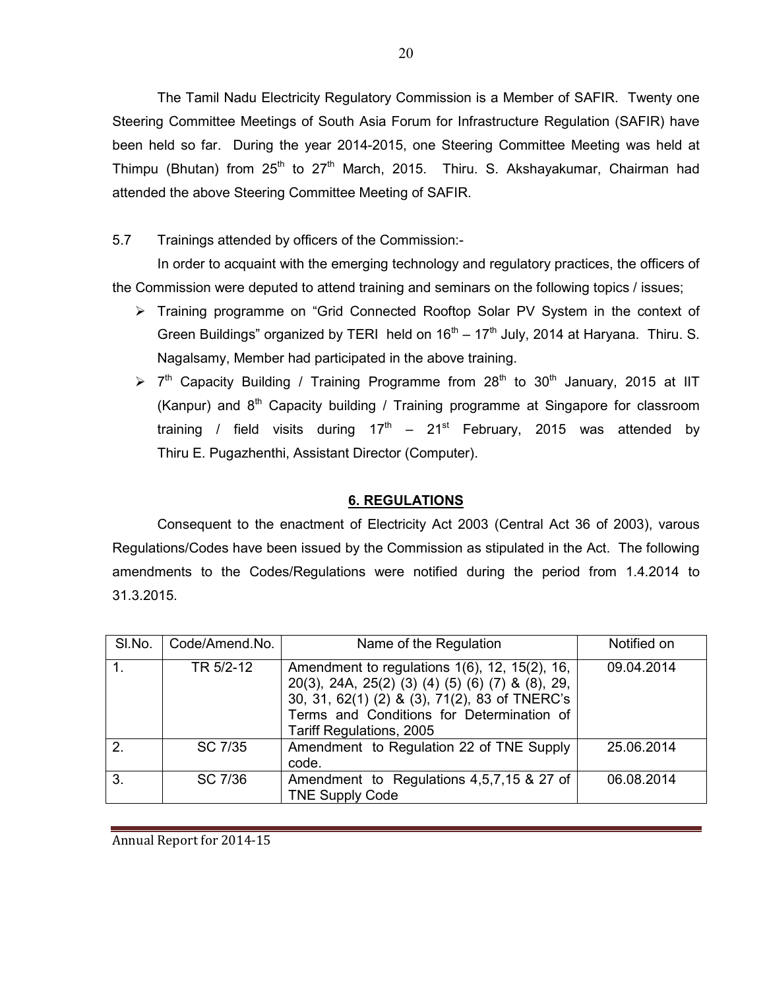The Tamil Nadu Electricity Regulatory Commission is a Member of SAFIR. Twenty one Steering Committee Meetings of South Asia Forum for Infrastructure Regulation (SAFIR) have been held so far. During the year 2014-2015, one Steering Committee Meeting was held at Thimpu (Bhutan) from  $25<sup>th</sup>$  to  $27<sup>th</sup>$  March, 2015. Thiru. S. Akshayakumar, Chairman had attended the above Steering Committee Meeting of SAFIR.

5.7 Trainings attended by officers of the Commission:-

In order to acquaint with the emerging technology and regulatory practices, the officers of the Commission were deputed to attend training and seminars on the following topics / issues;

- > Training programme on "Grid Connected Rooftop Solar PV System in the context of Green Buildings" organized by TERI held on  $16<sup>th</sup> - 17<sup>th</sup>$  July, 2014 at Haryana. Thiru. S. Nagalsamy, Member had participated in the above training.
- $> 7<sup>th</sup>$  Capacity Building / Training Programme from 28<sup>th</sup> to 30<sup>th</sup> January, 2015 at IIT (Kanpur) and  $8<sup>th</sup>$  Capacity building / Training programme at Singapore for classroom training / field visits during  $17<sup>th</sup> - 21<sup>st</sup>$  February, 2015 was attended by Thiru E. Pugazhenthi, Assistant Director (Computer).

## 6. REGULATIONS

 Consequent to the enactment of Electricity Act 2003 (Central Act 36 of 2003), varous Regulations/Codes have been issued by the Commission as stipulated in the Act. The following amendments to the Codes/Regulations were notified during the period from 1.4.2014 to 31.3.2015.

| SI.No.           | Code/Amend.No. | Name of the Regulation                                                                                                                                                                                                      | Notified on |
|------------------|----------------|-----------------------------------------------------------------------------------------------------------------------------------------------------------------------------------------------------------------------------|-------------|
|                  | TR 5/2-12      | Amendment to regulations 1(6), 12, 15(2), 16,<br>20(3), 24A, 25(2) (3) (4) (5) (6) (7) & (8), 29,<br>30, 31, 62(1) (2) & (3), 71(2), 83 of TNERC's<br>Terms and Conditions for Determination of<br>Tariff Regulations, 2005 | 09.04.2014  |
| $\overline{2}$ . | SC 7/35        | Amendment to Regulation 22 of TNE Supply<br>code.                                                                                                                                                                           | 25.06.2014  |
| $\overline{3}$ . | SC 7/36        | Amendment to Regulations 4,5,7,15 & 27 of<br><b>TNE Supply Code</b>                                                                                                                                                         | 06.08.2014  |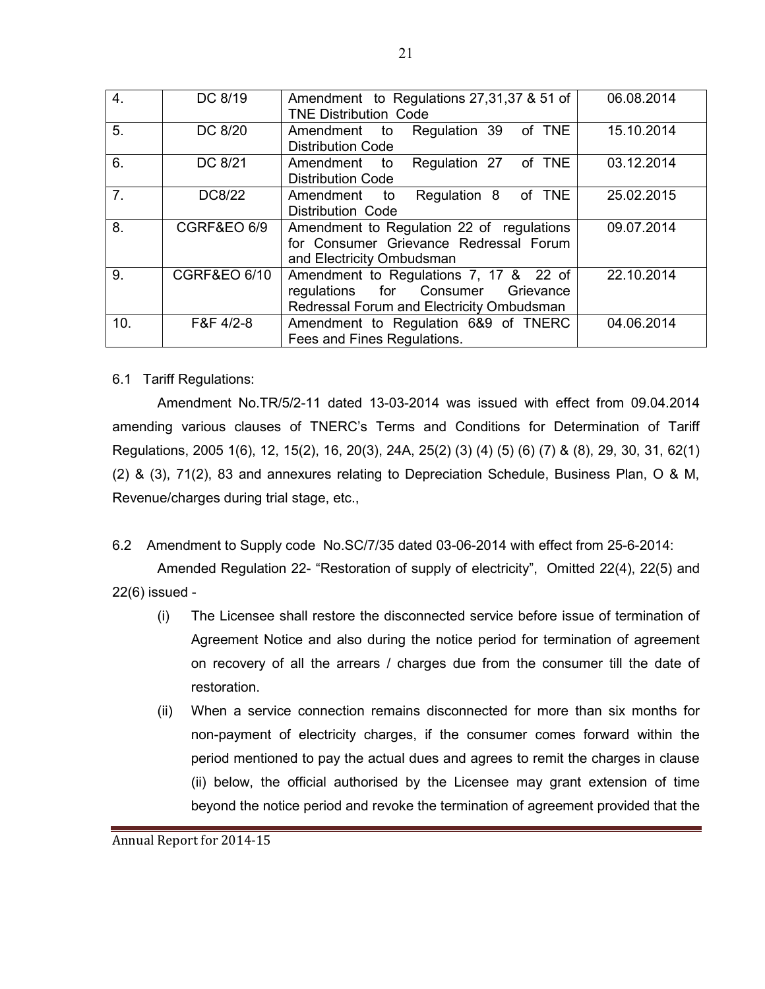| 4.             | DC 8/19                 | Amendment to Regulations 27,31,37 & 51 of<br><b>TNE Distribution Code</b>                                                               | 06.08.2014 |  |  |
|----------------|-------------------------|-----------------------------------------------------------------------------------------------------------------------------------------|------------|--|--|
| 5.             | DC 8/20                 | Amendment to Regulation 39 of TNE<br><b>Distribution Code</b>                                                                           | 15.10.2014 |  |  |
| 6.             | DC 8/21                 | Regulation 27 of TNE<br>Amendment to<br><b>Distribution Code</b>                                                                        | 03.12.2014 |  |  |
| 7 <sub>1</sub> | DC8/22                  | Regulation 8 of TNE<br>Amendment<br>to<br>Distribution Code                                                                             | 25.02.2015 |  |  |
| 8.             | CGRF&EO 6/9             | Amendment to Regulation 22 of regulations<br>09.07.2014<br>for Consumer Grievance Redressal Forum<br>and Electricity Ombudsman          |            |  |  |
| 9.             | <b>CGRF&amp;EO 6/10</b> | Amendment to Regulations 7, 17 & 22 of<br>22.10.2014<br>regulations for Consumer Grievance<br>Redressal Forum and Electricity Ombudsman |            |  |  |
| 10.            | F&F 4/2-8               | Amendment to Regulation 6&9 of TNERC<br>Fees and Fines Regulations.                                                                     | 04.06.2014 |  |  |

### 6.1 Tariff Regulations:

Amendment No.TR/5/2-11 dated 13-03-2014 was issued with effect from 09.04.2014 amending various clauses of TNERC's Terms and Conditions for Determination of Tariff Regulations, 2005 1(6), 12, 15(2), 16, 20(3), 24A, 25(2) (3) (4) (5) (6) (7) & (8), 29, 30, 31, 62(1) (2) & (3), 71(2), 83 and annexures relating to Depreciation Schedule, Business Plan, O & M, Revenue/charges during trial stage, etc.,

6.2 Amendment to Supply code No.SC/7/35 dated 03-06-2014 with effect from 25-6-2014:

 Amended Regulation 22- "Restoration of supply of electricity", Omitted 22(4), 22(5) and 22(6) issued -

- (i) The Licensee shall restore the disconnected service before issue of termination of Agreement Notice and also during the notice period for termination of agreement on recovery of all the arrears / charges due from the consumer till the date of restoration.
- (ii) When a service connection remains disconnected for more than six months for non-payment of electricity charges, if the consumer comes forward within the period mentioned to pay the actual dues and agrees to remit the charges in clause (ii) below, the official authorised by the Licensee may grant extension of time beyond the notice period and revoke the termination of agreement provided that the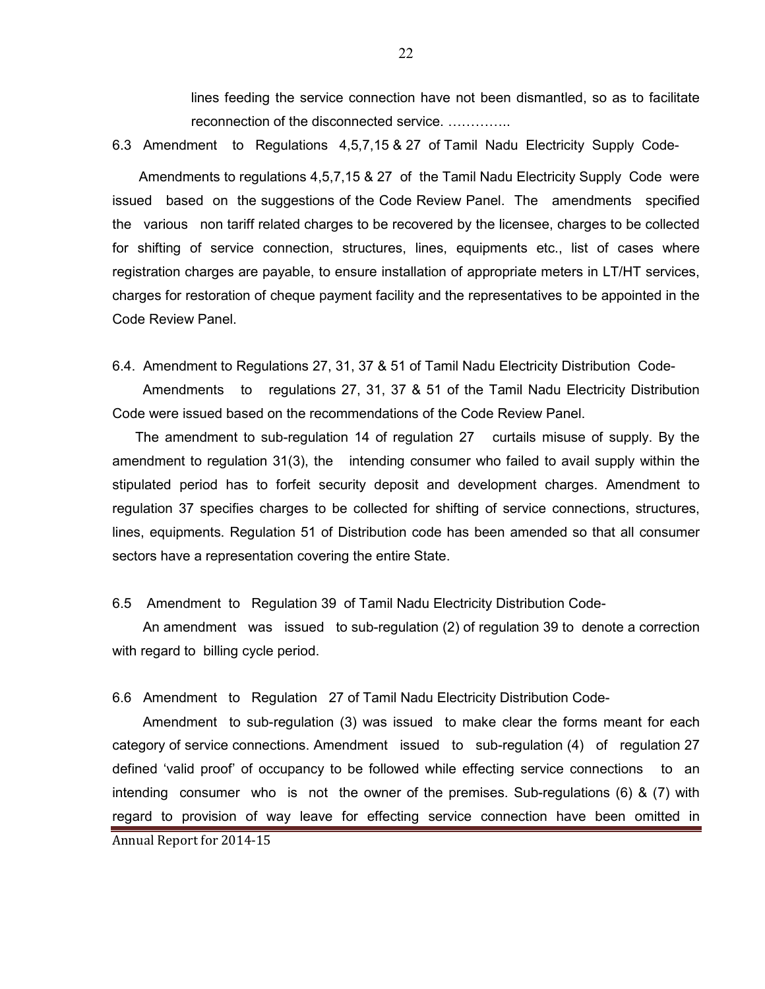lines feeding the service connection have not been dismantled, so as to facilitate reconnection of the disconnected service. ..............

6.3 Amendment to Regulations 4,5,7,15 & 27 of Tamil Nadu Electricity Supply Code-

 Amendments to regulations 4,5,7,15 & 27 of the Tamil Nadu Electricity Supply Code were issued based on the suggestions of the Code Review Panel. The amendments specified the various non tariff related charges to be recovered by the licensee, charges to be collected for shifting of service connection, structures, lines, equipments etc., list of cases where registration charges are payable, to ensure installation of appropriate meters in LT/HT services, charges for restoration of cheque payment facility and the representatives to be appointed in the Code Review Panel.

6.4. Amendment to Regulations 27, 31, 37 & 51 of Tamil Nadu Electricity Distribution Code-

 Amendments to regulations 27, 31, 37 & 51 of the Tamil Nadu Electricity Distribution Code were issued based on the recommendations of the Code Review Panel.

 The amendment to sub-regulation 14 of regulation 27 curtails misuse of supply. By the amendment to regulation 31(3), the intending consumer who failed to avail supply within the stipulated period has to forfeit security deposit and development charges. Amendment to regulation 37 specifies charges to be collected for shifting of service connections, structures, lines, equipments. Regulation 51 of Distribution code has been amended so that all consumer sectors have a representation covering the entire State.

6.5 Amendment to Regulation 39 of Tamil Nadu Electricity Distribution Code-

 An amendment was issued to sub-regulation (2) of regulation 39 to denote a correction with regard to billing cycle period.

6.6 Amendment to Regulation 27 of Tamil Nadu Electricity Distribution Code-

 Amendment to sub-regulation (3) was issued to make clear the forms meant for each category of service connections. Amendment issued to sub-regulation (4) of regulation 27 defined 'valid proof' of occupancy to be followed while effecting service connections to an intending consumer who is not the owner of the premises. Sub-regulations (6) & (7) with regard to provision of way leave for effecting service connection have been omitted in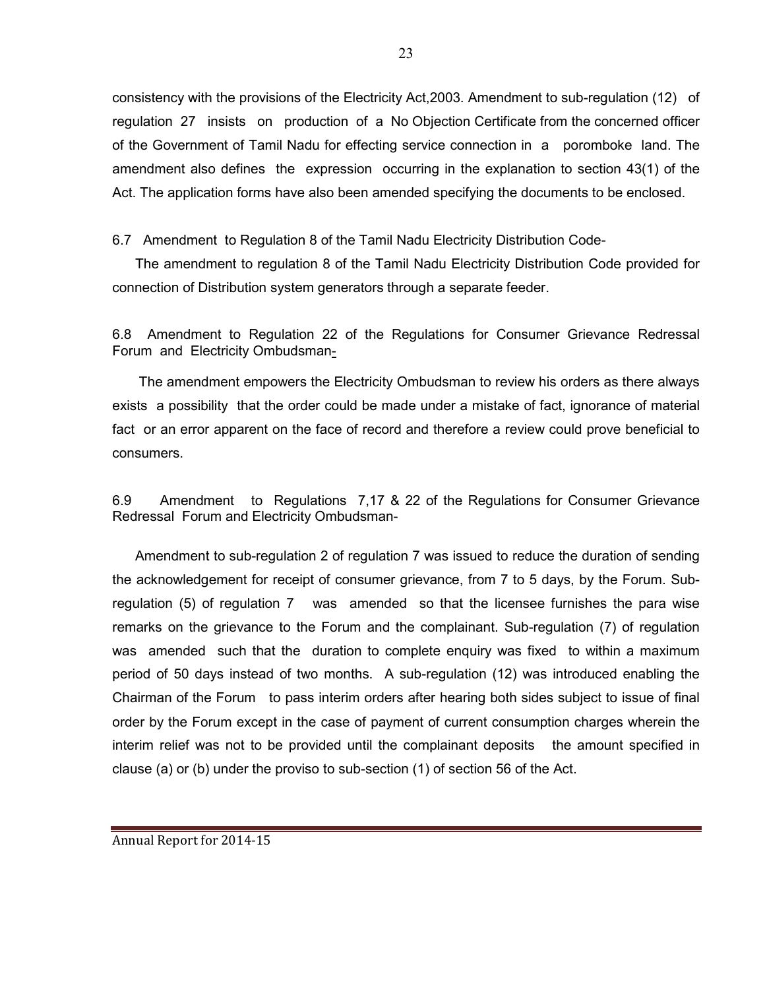consistency with the provisions of the Electricity Act,2003. Amendment to sub-regulation (12) of regulation 27 insists on production of a No Objection Certificate from the concerned officer of the Government of Tamil Nadu for effecting service connection in a poromboke land. The amendment also defines the expression occurring in the explanation to section 43(1) of the Act. The application forms have also been amended specifying the documents to be enclosed.

6.7 Amendment to Regulation 8 of the Tamil Nadu Electricity Distribution Code-

 The amendment to regulation 8 of the Tamil Nadu Electricity Distribution Code provided for connection of Distribution system generators through a separate feeder.

6.8 Amendment to Regulation 22 of the Regulations for Consumer Grievance Redressal Forum and Electricity Ombudsman-

 The amendment empowers the Electricity Ombudsman to review his orders as there always exists a possibility that the order could be made under a mistake of fact, ignorance of material fact or an error apparent on the face of record and therefore a review could prove beneficial to consumers.

6.9 Amendment to Regulations 7,17 & 22 of the Regulations for Consumer Grievance Redressal Forum and Electricity Ombudsman-

 Amendment to sub-regulation 2 of regulation 7 was issued to reduce the duration of sending the acknowledgement for receipt of consumer grievance, from 7 to 5 days, by the Forum. Subregulation (5) of regulation 7 was amended so that the licensee furnishes the para wise remarks on the grievance to the Forum and the complainant. Sub-regulation (7) of regulation was amended such that the duration to complete enquiry was fixed to within a maximum period of 50 days instead of two months. A sub-regulation (12) was introduced enabling the Chairman of the Forum to pass interim orders after hearing both sides subject to issue of final order by the Forum except in the case of payment of current consumption charges wherein the interim relief was not to be provided until the complainant deposits the amount specified in clause (a) or (b) under the proviso to sub-section (1) of section 56 of the Act.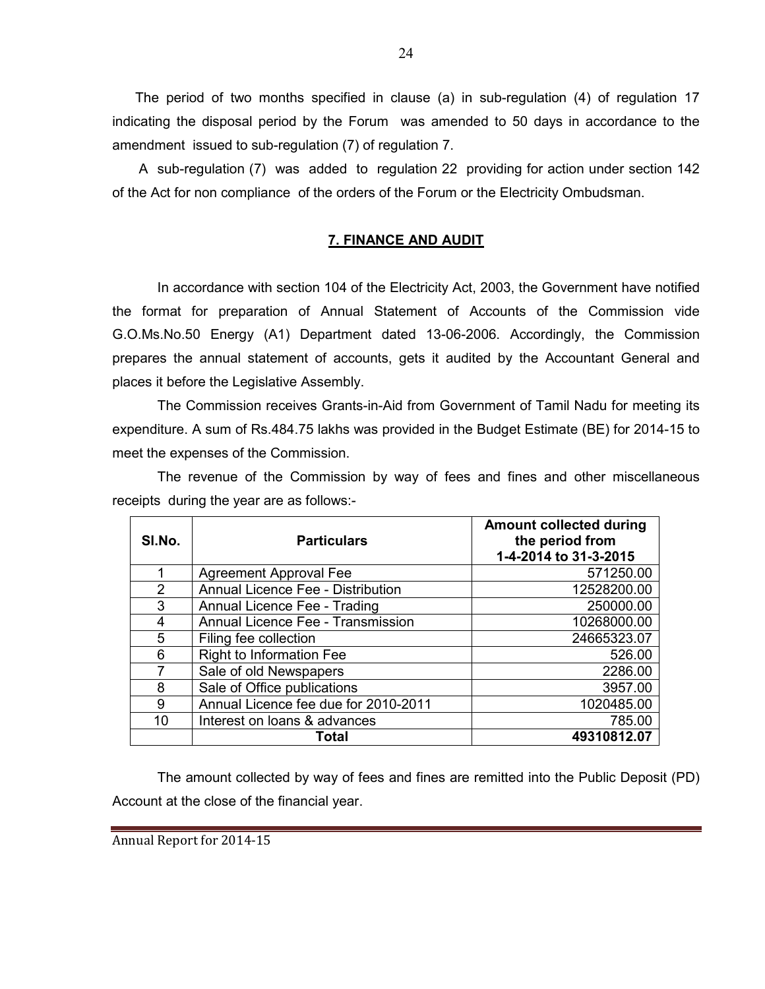The period of two months specified in clause (a) in sub-regulation (4) of regulation 17 indicating the disposal period by the Forum was amended to 50 days in accordance to the amendment issued to sub-regulation (7) of regulation 7.

 A sub-regulation (7) was added to regulation 22 providing for action under section 142 of the Act for non compliance of the orders of the Forum or the Electricity Ombudsman.

## 7. FINANCE AND AUDIT

In accordance with section 104 of the Electricity Act, 2003, the Government have notified the format for preparation of Annual Statement of Accounts of the Commission vide G.O.Ms.No.50 Energy (A1) Department dated 13-06-2006. Accordingly, the Commission prepares the annual statement of accounts, gets it audited by the Accountant General and places it before the Legislative Assembly.

The Commission receives Grants-in-Aid from Government of Tamil Nadu for meeting its expenditure. A sum of Rs.484.75 lakhs was provided in the Budget Estimate (BE) for 2014-15 to meet the expenses of the Commission.

The revenue of the Commission by way of fees and fines and other miscellaneous receipts during the year are as follows:-

| SI.No.         | <b>Particulars</b>                   | <b>Amount collected during</b><br>the period from<br>1-4-2014 to 31-3-2015 |
|----------------|--------------------------------------|----------------------------------------------------------------------------|
| 1              | <b>Agreement Approval Fee</b>        | 571250.00                                                                  |
| $\overline{2}$ | Annual Licence Fee - Distribution    | 12528200.00                                                                |
| 3              | Annual Licence Fee - Trading         | 250000.00                                                                  |
| 4              | Annual Licence Fee - Transmission    | 10268000.00                                                                |
| 5              | Filing fee collection                | 24665323.07                                                                |
| 6              | <b>Right to Information Fee</b>      | 526.00                                                                     |
| 7              | Sale of old Newspapers               | 2286.00                                                                    |
| 8              | Sale of Office publications          | 3957.00                                                                    |
| 9              | Annual Licence fee due for 2010-2011 | 1020485.00                                                                 |
| 10             | Interest on loans & advances         | 785.00                                                                     |
|                | Total                                | 49310812.07                                                                |

The amount collected by way of fees and fines are remitted into the Public Deposit (PD) Account at the close of the financial year.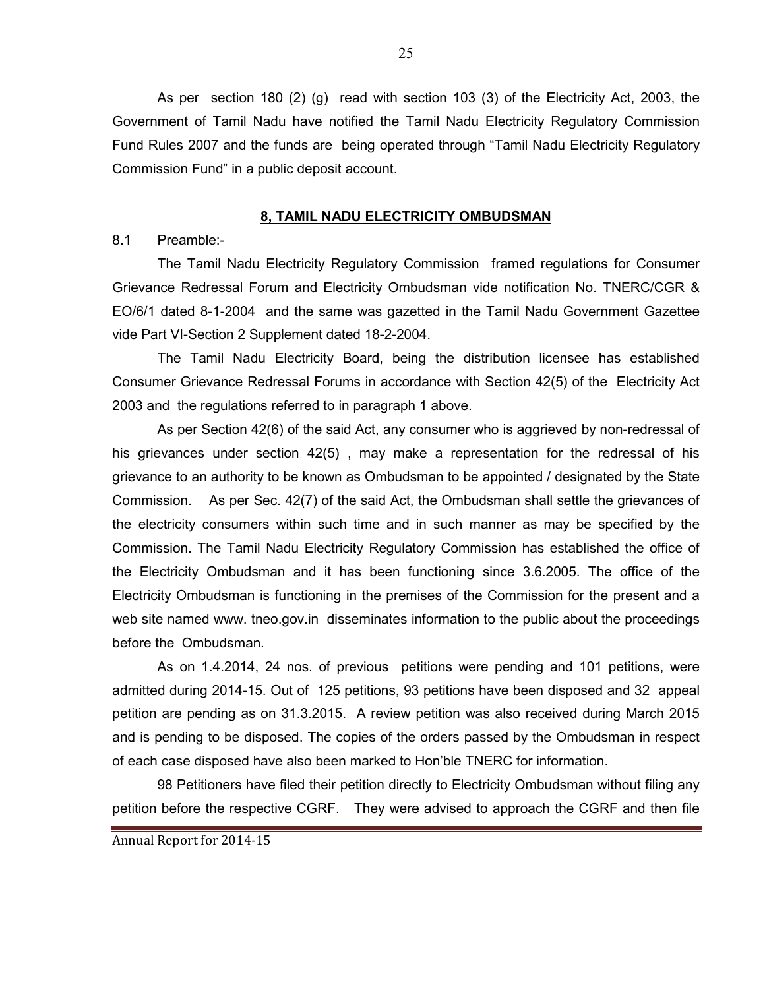As per section 180 (2) (g) read with section 103 (3) of the Electricity Act, 2003, the Government of Tamil Nadu have notified the Tamil Nadu Electricity Regulatory Commission Fund Rules 2007 and the funds are being operated through "Tamil Nadu Electricity Regulatory Commission Fund" in a public deposit account.

#### 8, TAMIL NADU ELECTRICITY OMBUDSMAN

8.1 Preamble:-

The Tamil Nadu Electricity Regulatory Commission framed regulations for Consumer Grievance Redressal Forum and Electricity Ombudsman vide notification No. TNERC/CGR & EO/6/1 dated 8-1-2004 and the same was gazetted in the Tamil Nadu Government Gazettee vide Part VI-Section 2 Supplement dated 18-2-2004.

 The Tamil Nadu Electricity Board, being the distribution licensee has established Consumer Grievance Redressal Forums in accordance with Section 42(5) of the Electricity Act 2003 and the regulations referred to in paragraph 1 above.

As per Section 42(6) of the said Act, any consumer who is aggrieved by non-redressal of his grievances under section 42(5) , may make a representation for the redressal of his grievance to an authority to be known as Ombudsman to be appointed / designated by the State Commission. As per Sec. 42(7) of the said Act, the Ombudsman shall settle the grievances of the electricity consumers within such time and in such manner as may be specified by the Commission. The Tamil Nadu Electricity Regulatory Commission has established the office of the Electricity Ombudsman and it has been functioning since 3.6.2005. The office of the Electricity Ombudsman is functioning in the premises of the Commission for the present and a web site named www. tneo.gov.in disseminates information to the public about the proceedings before the Ombudsman.

As on 1.4.2014, 24 nos. of previous petitions were pending and 101 petitions, were admitted during 2014-15. Out of 125 petitions, 93 petitions have been disposed and 32 appeal petition are pending as on 31.3.2015. A review petition was also received during March 2015 and is pending to be disposed. The copies of the orders passed by the Ombudsman in respect of each case disposed have also been marked to Hon'ble TNERC for information.

98 Petitioners have filed their petition directly to Electricity Ombudsman without filing any petition before the respective CGRF. They were advised to approach the CGRF and then file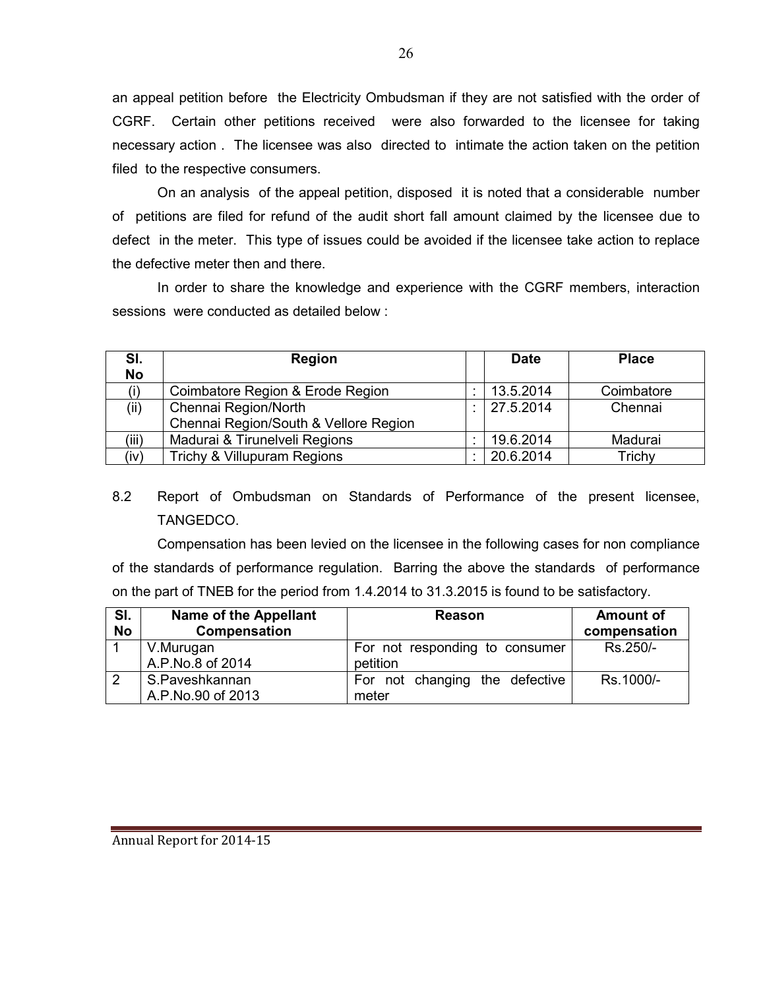an appeal petition before the Electricity Ombudsman if they are not satisfied with the order of CGRF. Certain other petitions received were also forwarded to the licensee for taking necessary action . The licensee was also directed to intimate the action taken on the petition filed to the respective consumers.

On an analysis of the appeal petition, disposed it is noted that a considerable number of petitions are filed for refund of the audit short fall amount claimed by the licensee due to defect in the meter. This type of issues could be avoided if the licensee take action to replace the defective meter then and there.

In order to share the knowledge and experience with the CGRF members, interaction sessions were conducted as detailed below :

| SI.<br><b>No</b> | <b>Region</b>                         | <b>Date</b> | <b>Place</b> |
|------------------|---------------------------------------|-------------|--------------|
|                  | Coimbatore Region & Erode Region      | 13.5.2014   | Coimbatore   |
| (ii)             | Chennai Region/North                  | 27.5.2014   | Chennai      |
|                  | Chennai Region/South & Vellore Region |             |              |
| (iii)            | Madurai & Tirunelveli Regions         | 19.6.2014   | Madurai      |
| (iv)             | Trichy & Villupuram Regions           | 20.6.2014   | Trichy       |

# 8.2 Report of Ombudsman on Standards of Performance of the present licensee, TANGEDCO.

 Compensation has been levied on the licensee in the following cases for non compliance of the standards of performance regulation. Barring the above the standards of performance on the part of TNEB for the period from 1.4.2014 to 31.3.2015 is found to be satisfactory.

| SI.<br><b>No</b> | <b>Name of the Appellant</b><br>Compensation | Reason                                     | <b>Amount of</b><br>compensation |
|------------------|----------------------------------------------|--------------------------------------------|----------------------------------|
|                  | V.Murugan<br>A.P.No.8 of 2014                | For not responding to consumer<br>petition | Rs.250/-                         |
|                  | S.Paveshkannan<br>A.P.No.90 of 2013          | For not changing the defective<br>meter    | Rs.1000/-                        |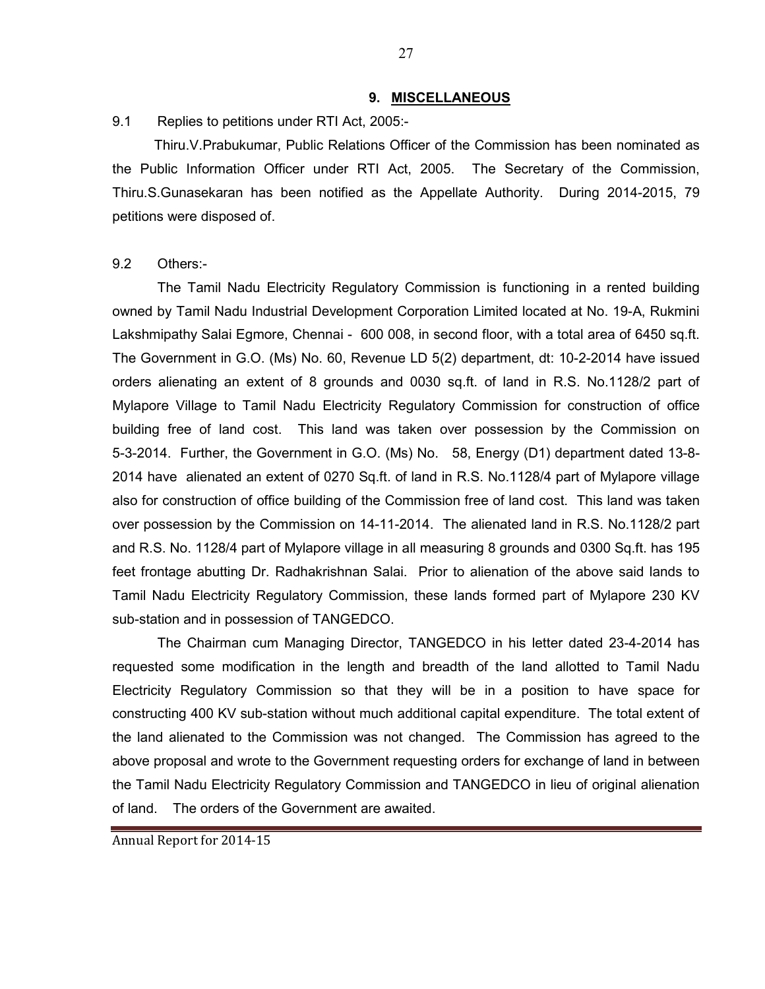#### 9. MISCELLANEOUS

9.1 Replies to petitions under RTI Act, 2005:-

 Thiru.V.Prabukumar, Public Relations Officer of the Commission has been nominated as the Public Information Officer under RTI Act, 2005. The Secretary of the Commission, Thiru.S.Gunasekaran has been notified as the Appellate Authority. During 2014-2015, 79 petitions were disposed of.

#### 9.2 Others:-

 The Tamil Nadu Electricity Regulatory Commission is functioning in a rented building owned by Tamil Nadu Industrial Development Corporation Limited located at No. 19-A, Rukmini Lakshmipathy Salai Egmore, Chennai - 600 008, in second floor, with a total area of 6450 sq.ft. The Government in G.O. (Ms) No. 60, Revenue LD 5(2) department, dt: 10-2-2014 have issued orders alienating an extent of 8 grounds and 0030 sq.ft. of land in R.S. No.1128/2 part of Mylapore Village to Tamil Nadu Electricity Regulatory Commission for construction of office building free of land cost. This land was taken over possession by the Commission on 5-3-2014. Further, the Government in G.O. (Ms) No. 58, Energy (D1) department dated 13-8- 2014 have alienated an extent of 0270 Sq.ft. of land in R.S. No.1128/4 part of Mylapore village also for construction of office building of the Commission free of land cost. This land was taken over possession by the Commission on 14-11-2014. The alienated land in R.S. No.1128/2 part and R.S. No. 1128/4 part of Mylapore village in all measuring 8 grounds and 0300 Sq.ft. has 195 feet frontage abutting Dr. Radhakrishnan Salai. Prior to alienation of the above said lands to Tamil Nadu Electricity Regulatory Commission, these lands formed part of Mylapore 230 KV sub-station and in possession of TANGEDCO.

The Chairman cum Managing Director, TANGEDCO in his letter dated 23-4-2014 has requested some modification in the length and breadth of the land allotted to Tamil Nadu Electricity Regulatory Commission so that they will be in a position to have space for constructing 400 KV sub-station without much additional capital expenditure. The total extent of the land alienated to the Commission was not changed. The Commission has agreed to the above proposal and wrote to the Government requesting orders for exchange of land in between the Tamil Nadu Electricity Regulatory Commission and TANGEDCO in lieu of original alienation of land. The orders of the Government are awaited.

Annual Report for 2014-15